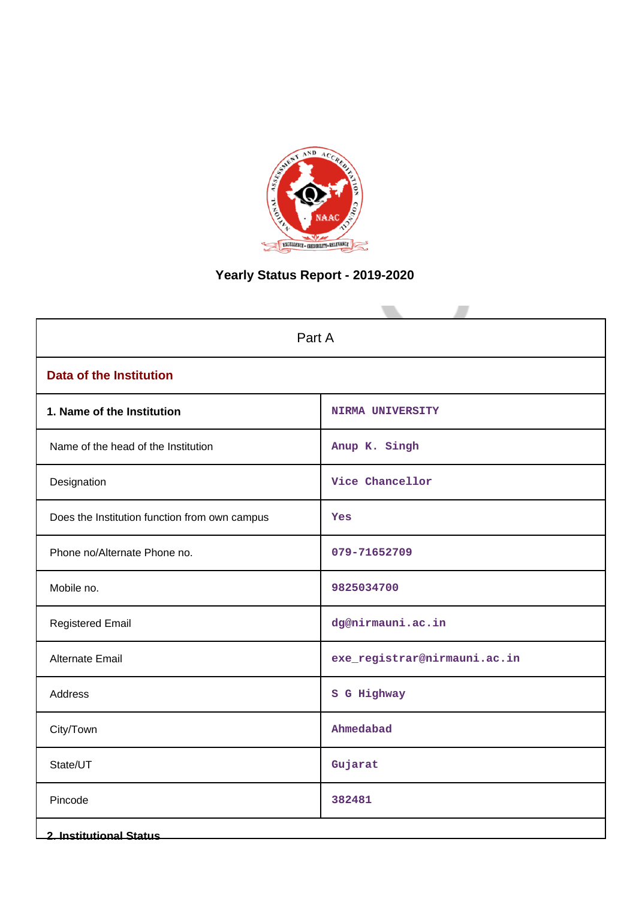

# **Yearly Status Report - 2019-2020**

| Part A                                        |                              |  |  |  |
|-----------------------------------------------|------------------------------|--|--|--|
| <b>Data of the Institution</b>                |                              |  |  |  |
| 1. Name of the Institution                    | <b>NIRMA UNIVERSITY</b>      |  |  |  |
| Name of the head of the Institution           | Anup K. Singh                |  |  |  |
| Designation                                   | Vice Chancellor              |  |  |  |
| Does the Institution function from own campus | Yes                          |  |  |  |
| Phone no/Alternate Phone no.                  | 079-71652709                 |  |  |  |
| Mobile no.                                    | 9825034700                   |  |  |  |
| <b>Registered Email</b>                       | dg@nirmauni.ac.in            |  |  |  |
| <b>Alternate Email</b>                        | exe_registrar@nirmauni.ac.in |  |  |  |
| Address                                       | S G Highway                  |  |  |  |
| City/Town                                     | Ahmedabad                    |  |  |  |
| State/UT                                      | Gujarat                      |  |  |  |
| Pincode                                       | 382481                       |  |  |  |
| <b>2. Institutional Status</b>                |                              |  |  |  |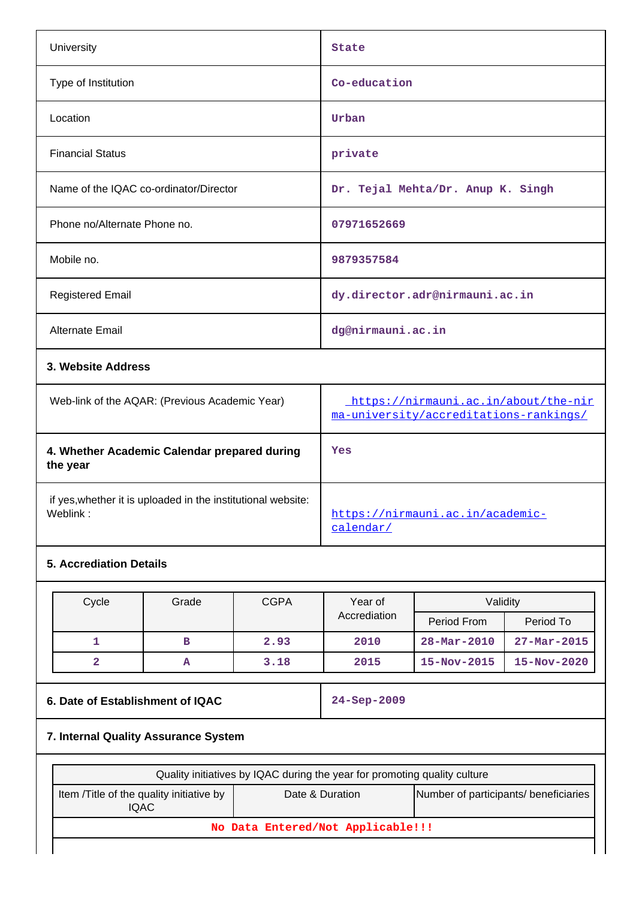| University                             | <b>State</b>                      |
|----------------------------------------|-----------------------------------|
| Type of Institution                    | Co-education                      |
| Location                               | Urban                             |
| <b>Financial Status</b>                | private                           |
| Name of the IQAC co-ordinator/Director | Dr. Tejal Mehta/Dr. Anup K. Singh |
| Phone no/Alternate Phone no.           | 07971652669                       |
| Mobile no.                             | 9879357584                        |
| <b>Registered Email</b>                | dy.director.adr@nirmauni.ac.in    |
| Alternate Email                        | dg@nirmauni.ac.in                 |
| 3. Website Address                     |                                   |

| Web-link of the AQAR: (Previous Academic Year)                           | https://nirmauni.ac.in/about/the-nir<br>ma-university/accreditations-rankings/ |
|--------------------------------------------------------------------------|--------------------------------------------------------------------------------|
| 4. Whether Academic Calendar prepared during<br>the year                 | Yes                                                                            |
| if yes, whether it is uploaded in the institutional website:<br>Weblink: | https://nirmauni.ac.in/academic-<br>calendar/                                  |

# **5. Accrediation Details**

| Cycle | Grade | <b>CGPA</b> | Year of      | Validity                 |                          |
|-------|-------|-------------|--------------|--------------------------|--------------------------|
|       |       |             | Accrediation | Period From              | Period To                |
|       | в     | 2.93        | 2010         | $28 - \text{Mar} - 2010$ | $27 - \text{Mar} - 2015$ |
|       | A     | 3.18        | 2015         | $15 - Nov - 2015$        | $15 - Nov - 2020$        |

## **6. Date of Establishment of IQAC 24-Sep-2009**

# **7. Internal Quality Assurance System**

| Quality initiatives by IQAC during the year for promoting quality culture                                      |  |  |  |  |  |  |
|----------------------------------------------------------------------------------------------------------------|--|--|--|--|--|--|
| Number of participants/ beneficiaries<br>Item / Title of the quality initiative by<br>Date & Duration<br>IQAC. |  |  |  |  |  |  |
| No Data Entered/Not Applicable!!!                                                                              |  |  |  |  |  |  |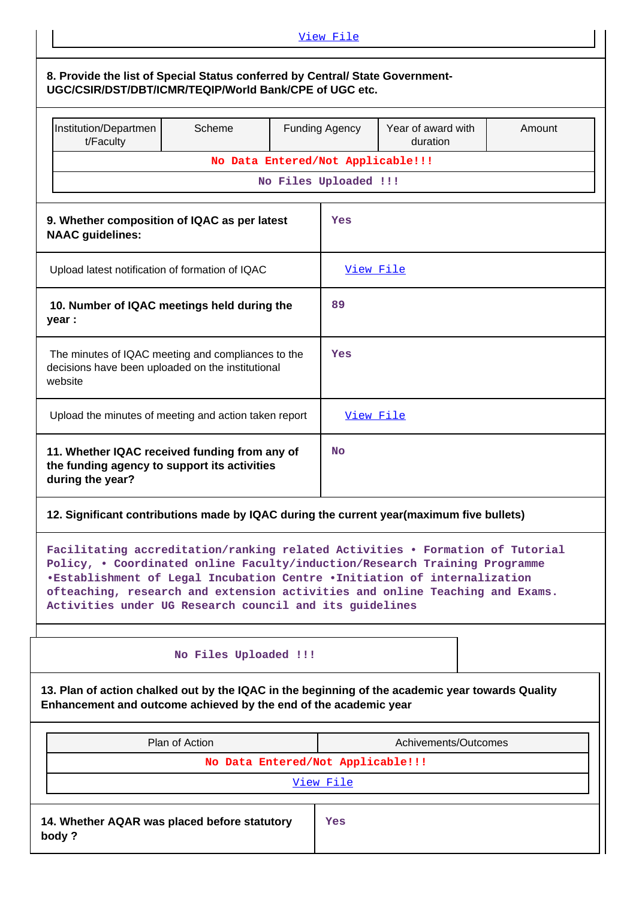| View File                                                                                                                                                                                                                                                                                                                                                                          |                                                                                                         |  |                       |                      |  |  |
|------------------------------------------------------------------------------------------------------------------------------------------------------------------------------------------------------------------------------------------------------------------------------------------------------------------------------------------------------------------------------------|---------------------------------------------------------------------------------------------------------|--|-----------------------|----------------------|--|--|
| 8. Provide the list of Special Status conferred by Central/ State Government-<br>UGC/CSIR/DST/DBT/ICMR/TEQIP/World Bank/CPE of UGC etc.                                                                                                                                                                                                                                            |                                                                                                         |  |                       |                      |  |  |
| Institution/Departmen<br>t/Faculty                                                                                                                                                                                                                                                                                                                                                 | Scheme<br>Year of award with<br><b>Funding Agency</b><br>Amount<br>duration                             |  |                       |                      |  |  |
|                                                                                                                                                                                                                                                                                                                                                                                    | No Data Entered/Not Applicable!!!                                                                       |  |                       |                      |  |  |
|                                                                                                                                                                                                                                                                                                                                                                                    |                                                                                                         |  | No Files Uploaded !!! |                      |  |  |
| 9. Whether composition of IQAC as per latest<br><b>NAAC</b> guidelines:                                                                                                                                                                                                                                                                                                            |                                                                                                         |  | Yes                   |                      |  |  |
| Upload latest notification of formation of IQAC                                                                                                                                                                                                                                                                                                                                    |                                                                                                         |  | <u>View File</u>      |                      |  |  |
| 10. Number of IQAC meetings held during the<br>year :                                                                                                                                                                                                                                                                                                                              |                                                                                                         |  | 89                    |                      |  |  |
| website                                                                                                                                                                                                                                                                                                                                                                            | The minutes of IQAC meeting and compliances to the<br>decisions have been uploaded on the institutional |  |                       | Yes                  |  |  |
| Upload the minutes of meeting and action taken report                                                                                                                                                                                                                                                                                                                              |                                                                                                         |  | View File             |                      |  |  |
| 11. Whether IQAC received funding from any of<br>the funding agency to support its activities<br>during the year?                                                                                                                                                                                                                                                                  |                                                                                                         |  | <b>No</b>             |                      |  |  |
| 12. Significant contributions made by IQAC during the current year(maximum five bullets)                                                                                                                                                                                                                                                                                           |                                                                                                         |  |                       |                      |  |  |
| Facilitating accreditation/ranking related Activities . Formation of Tutorial<br>Policy, . Coordinated online Faculty/induction/Research Training Programme<br>.Establishment of Legal Incubation Centre .Initiation of internalization<br>ofteaching, research and extension activities and online Teaching and Exams.<br>Activities under UG Research council and its guidelines |                                                                                                         |  |                       |                      |  |  |
|                                                                                                                                                                                                                                                                                                                                                                                    | No Files Uploaded !!!                                                                                   |  |                       |                      |  |  |
| 13. Plan of action chalked out by the IQAC in the beginning of the academic year towards Quality<br>Enhancement and outcome achieved by the end of the academic year                                                                                                                                                                                                               |                                                                                                         |  |                       |                      |  |  |
| Plan of Action                                                                                                                                                                                                                                                                                                                                                                     |                                                                                                         |  |                       | Achivements/Outcomes |  |  |
|                                                                                                                                                                                                                                                                                                                                                                                    | No Data Entered/Not Applicable!!!                                                                       |  |                       |                      |  |  |
|                                                                                                                                                                                                                                                                                                                                                                                    |                                                                                                         |  | View File             |                      |  |  |
| 14. Whether AQAR was placed before statutory<br>body?                                                                                                                                                                                                                                                                                                                              |                                                                                                         |  | Yes                   |                      |  |  |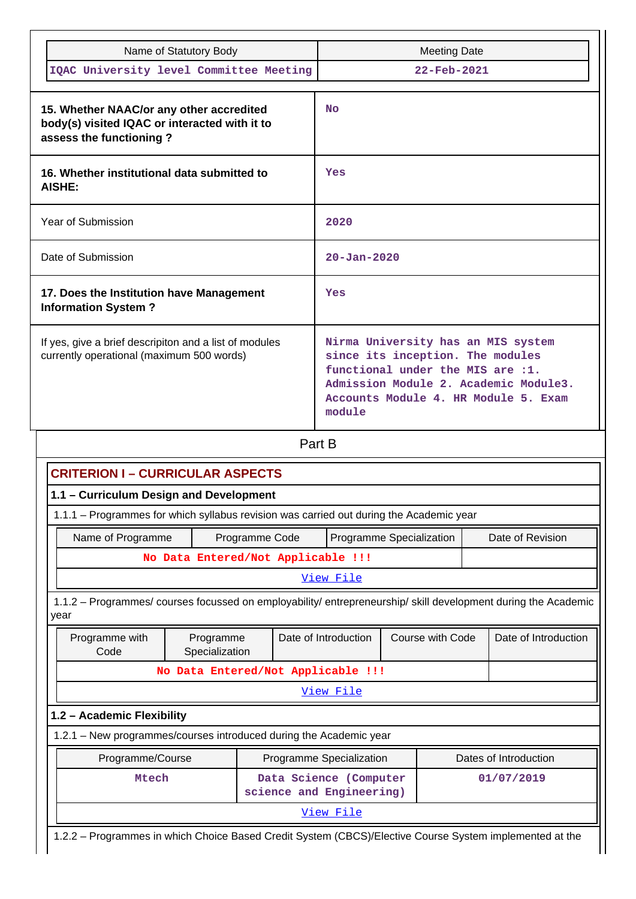| Name of Statutory Body                                                                                               | <b>Meeting Date</b>                                                                                                                                                                                   |
|----------------------------------------------------------------------------------------------------------------------|-------------------------------------------------------------------------------------------------------------------------------------------------------------------------------------------------------|
| IQAC University level Committee Meeting                                                                              | $22 - \text{Feb} - 2021$                                                                                                                                                                              |
| 15. Whether NAAC/or any other accredited<br>body(s) visited IQAC or interacted with it to<br>assess the functioning? | <b>No</b>                                                                                                                                                                                             |
| 16. Whether institutional data submitted to<br>AISHE:                                                                | Yes                                                                                                                                                                                                   |
| Year of Submission                                                                                                   | 2020                                                                                                                                                                                                  |
| Date of Submission                                                                                                   | $20 - Jan - 2020$                                                                                                                                                                                     |
| 17. Does the Institution have Management<br><b>Information System?</b>                                               | Yes                                                                                                                                                                                                   |
| If yes, give a brief descripiton and a list of modules<br>currently operational (maximum 500 words)                  | Nirma University has an MIS system<br>since its inception. The modules<br>functional under the MIS are :1.<br>Admission Module 2. Academic Module3.<br>Accounts Module 4. HR Module 5. Exam<br>module |

Part B

| <b>CRITERION I - CURRICULAR ASPECTS</b>                                                                                |                                                                                                         |                                          |           |  |                      |  |                       |
|------------------------------------------------------------------------------------------------------------------------|---------------------------------------------------------------------------------------------------------|------------------------------------------|-----------|--|----------------------|--|-----------------------|
| 1.1 - Curriculum Design and Development                                                                                |                                                                                                         |                                          |           |  |                      |  |                       |
| 1.1.1 - Programmes for which syllabus revision was carried out during the Academic year                                |                                                                                                         |                                          |           |  |                      |  |                       |
| Name of Programme<br>Programme Specialization<br>Date of Revision<br>Programme Code                                    |                                                                                                         |                                          |           |  |                      |  |                       |
|                                                                                                                        | No Data Entered/Not Applicable !!!                                                                      |                                          |           |  |                      |  |                       |
|                                                                                                                        |                                                                                                         |                                          | View File |  |                      |  |                       |
| 1.1.2 – Programmes/ courses focussed on employability/ entrepreneurship/ skill development during the Academic<br>year |                                                                                                         |                                          |           |  |                      |  |                       |
| Programme with<br>Code                                                                                                 | Programme<br>Specialization                                                                             | Course with Code<br>Date of Introduction |           |  | Date of Introduction |  |                       |
|                                                                                                                        | No Data Entered/Not Applicable !!!                                                                      |                                          |           |  |                      |  |                       |
|                                                                                                                        |                                                                                                         |                                          | View File |  |                      |  |                       |
| 1.2 - Academic Flexibility                                                                                             |                                                                                                         |                                          |           |  |                      |  |                       |
| 1.2.1 - New programmes/courses introduced during the Academic year                                                     |                                                                                                         |                                          |           |  |                      |  |                       |
| Programme/Course                                                                                                       |                                                                                                         | Programme Specialization                 |           |  |                      |  | Dates of Introduction |
| Data Science (Computer<br>Mtech<br>01/07/2019<br>science and Engineering)                                              |                                                                                                         |                                          |           |  |                      |  |                       |
| View File                                                                                                              |                                                                                                         |                                          |           |  |                      |  |                       |
|                                                                                                                        | 1.2.2 - Programmes in which Choice Based Credit System (CBCS)/Elective Course System implemented at the |                                          |           |  |                      |  |                       |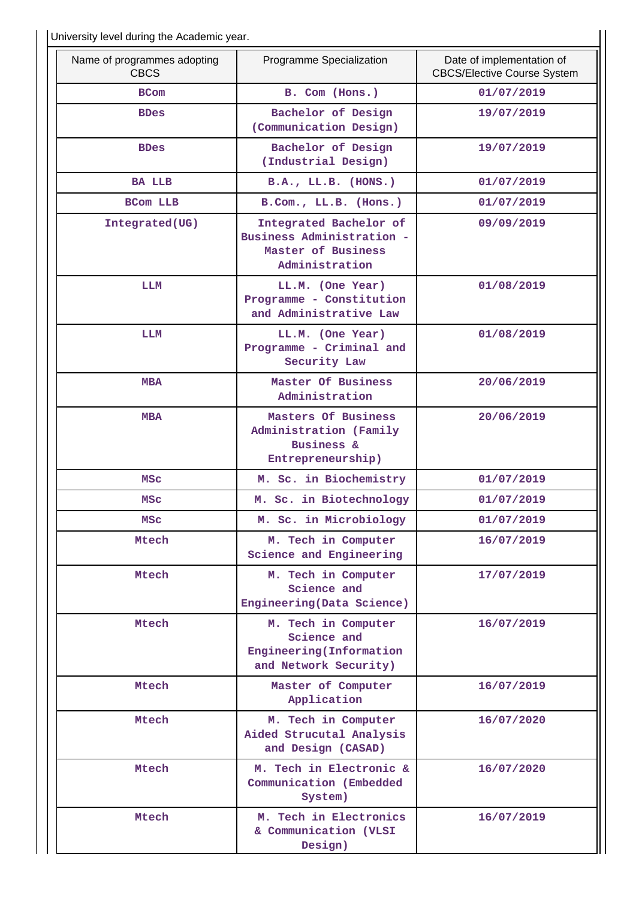University level during the Academic year.

| Name of programmes adopting<br><b>CBCS</b> | Programme Specialization                                                                    | Date of implementation of<br><b>CBCS/Elective Course System</b> |
|--------------------------------------------|---------------------------------------------------------------------------------------------|-----------------------------------------------------------------|
| <b>BCom</b>                                | B. Com (Hons.)                                                                              | 01/07/2019                                                      |
| <b>BDes</b>                                | Bachelor of Design<br>(Communication Design)                                                | 19/07/2019                                                      |
| <b>BDes</b>                                | Bachelor of Design<br>(Industrial Design)                                                   | 19/07/2019                                                      |
| <b>BA LLB</b>                              | B.A., LL.B. (HONS.)                                                                         | 01/07/2019                                                      |
| <b>BCom LLB</b>                            | B.Com., LL.B. (Hons.)                                                                       | 01/07/2019                                                      |
| Integrated(UG)                             | Integrated Bachelor of<br>Business Administration -<br>Master of Business<br>Administration | 09/09/2019                                                      |
| LLM                                        | LL.M. (One Year)<br>Programme - Constitution<br>and Administrative Law                      | 01/08/2019                                                      |
| LLM                                        | LL.M. (One Year)<br>Programme - Criminal and<br>Security Law                                | 01/08/2019                                                      |
| <b>MBA</b>                                 | Master Of Business<br>Administration                                                        | 20/06/2019                                                      |
| <b>MBA</b>                                 | Masters Of Business<br>Administration (Family<br><b>Business &amp;</b><br>Entrepreneurship) | 20/06/2019                                                      |
| MSC                                        | M. Sc. in Biochemistry                                                                      | 01/07/2019                                                      |
| <b>MSC</b>                                 | M. Sc. in Biotechnology                                                                     | 01/07/2019                                                      |
| MSC                                        | M. Sc. in Microbiology                                                                      | 01/07/2019                                                      |
| Mtech                                      | M. Tech in Computer<br>Science and Engineering                                              | 16/07/2019                                                      |
| Mtech                                      | M. Tech in Computer<br>Science and<br>Engineering (Data Science)                            | 17/07/2019                                                      |
| Mtech                                      | M. Tech in Computer<br>Science and<br>Engineering (Information<br>and Network Security)     | 16/07/2019                                                      |
| Mtech                                      | Master of Computer<br>Application                                                           | 16/07/2019                                                      |
| Mtech                                      | M. Tech in Computer<br>Aided Strucutal Analysis<br>and Design (CASAD)                       | 16/07/2020                                                      |
| Mtech                                      | M. Tech in Electronic &<br>Communication (Embedded<br>System)                               | 16/07/2020                                                      |
| Mtech                                      | M. Tech in Electronics<br>& Communication (VLSI<br>Design)                                  | 16/07/2019                                                      |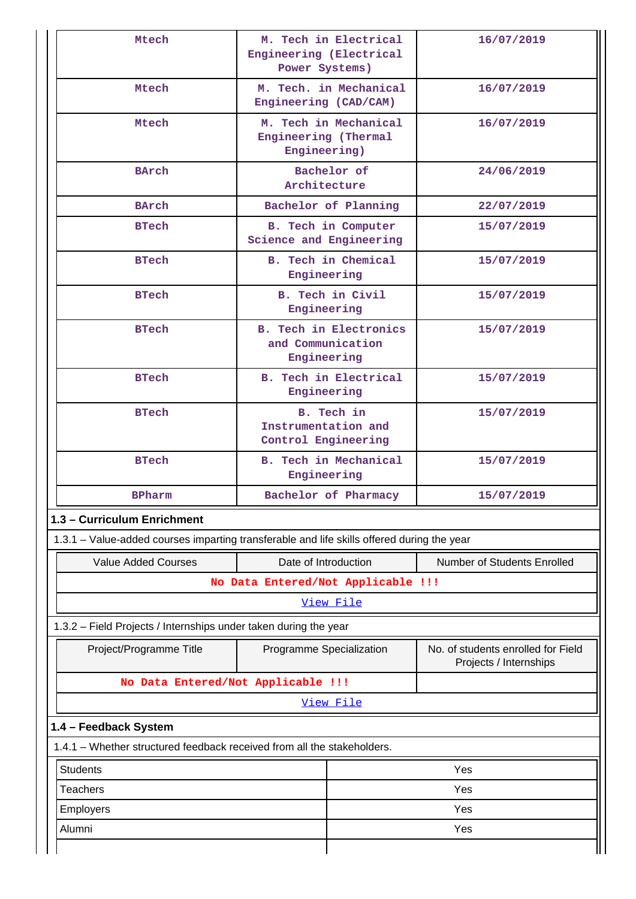| Mtech                                                                                      | Engineering (Electrical<br>Power Systems)                         | M. Tech in Electrical      | 16/07/2019                                                   |  |
|--------------------------------------------------------------------------------------------|-------------------------------------------------------------------|----------------------------|--------------------------------------------------------------|--|
| Mtech                                                                                      | Engineering (CAD/CAM)                                             | M. Tech. in Mechanical     | 16/07/2019                                                   |  |
| Mtech                                                                                      | Engineering (Thermal<br>Engineering)                              | M. Tech in Mechanical      | 16/07/2019                                                   |  |
| <b>BArch</b>                                                                               | Architecture                                                      | Bachelor of                | 24/06/2019                                                   |  |
| BArch                                                                                      |                                                                   | Bachelor of Planning       | 22/07/2019                                                   |  |
| <b>BTech</b>                                                                               | Science and Engineering                                           | <b>B.</b> Tech in Computer | 15/07/2019                                                   |  |
| <b>BTech</b>                                                                               | Engineering                                                       | <b>B.</b> Tech in Chemical | 15/07/2019                                                   |  |
| <b>BTech</b>                                                                               | Engineering                                                       | B. Tech in Civil           | 15/07/2019                                                   |  |
| <b>BTech</b>                                                                               | <b>B. Tech in Electronics</b><br>and Communication<br>Engineering |                            | 15/07/2019                                                   |  |
| <b>BTech</b>                                                                               | Engineering                                                       | B. Tech in Electrical      | 15/07/2019                                                   |  |
| <b>BTech</b>                                                                               | B. Tech in<br>Instrumentation and<br>Control Engineering          |                            | 15/07/2019                                                   |  |
| <b>BTech</b>                                                                               | <b>B. Tech in Mechanical</b><br>Engineering                       |                            | 15/07/2019                                                   |  |
| <b>BPharm</b>                                                                              |                                                                   | Bachelor of Pharmacy       | 15/07/2019                                                   |  |
| 1.3 - Curriculum Enrichment                                                                |                                                                   |                            |                                                              |  |
| 1.3.1 – Value-added courses imparting transferable and life skills offered during the year |                                                                   |                            |                                                              |  |
| <b>Value Added Courses</b>                                                                 | Date of Introduction                                              |                            | Number of Students Enrolled                                  |  |
|                                                                                            | No Data Entered/Not Applicable !!!                                |                            |                                                              |  |
|                                                                                            |                                                                   | View File                  |                                                              |  |
| 1.3.2 - Field Projects / Internships under taken during the year                           |                                                                   |                            |                                                              |  |
| Project/Programme Title                                                                    | Programme Specialization                                          |                            | No. of students enrolled for Field<br>Projects / Internships |  |
| No Data Entered/Not Applicable !!!                                                         |                                                                   |                            |                                                              |  |
|                                                                                            |                                                                   | View File                  |                                                              |  |
| 1.4 - Feedback System                                                                      |                                                                   |                            |                                                              |  |
| 1.4.1 – Whether structured feedback received from all the stakeholders.                    |                                                                   |                            |                                                              |  |
| <b>Students</b>                                                                            |                                                                   |                            | Yes                                                          |  |
| <b>Teachers</b>                                                                            |                                                                   | Yes                        |                                                              |  |
| Employers                                                                                  |                                                                   | Yes                        |                                                              |  |
| Alumni                                                                                     |                                                                   | Yes                        |                                                              |  |
|                                                                                            |                                                                   |                            |                                                              |  |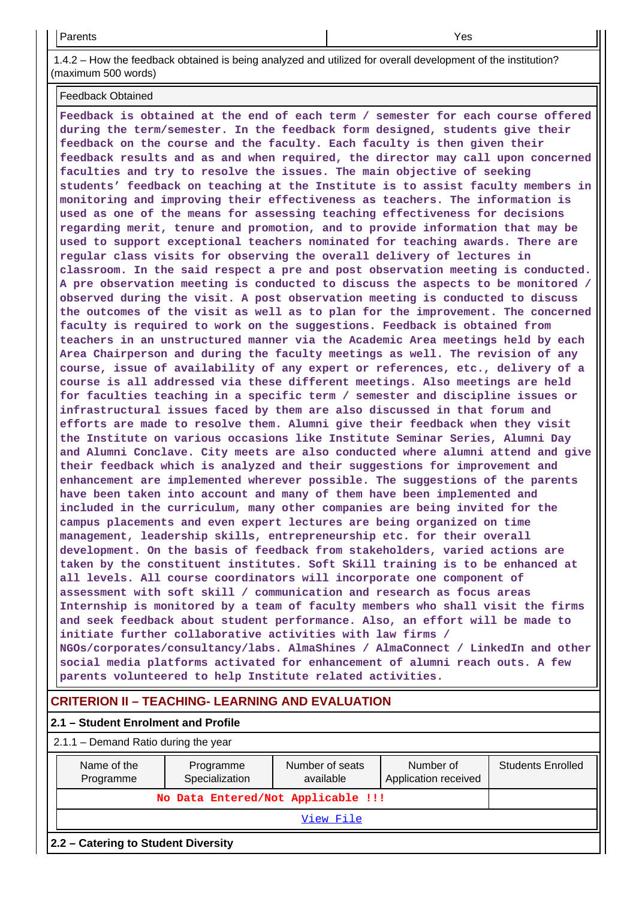1.4.2 – How the feedback obtained is being analyzed and utilized for overall development of the institution? (maximum 500 words)

Feedback Obtained

**Feedback is obtained at the end of each term / semester for each course offered during the term/semester. In the feedback form designed, students give their feedback on the course and the faculty. Each faculty is then given their feedback results and as and when required, the director may call upon concerned faculties and try to resolve the issues. The main objective of seeking students' feedback on teaching at the Institute is to assist faculty members in monitoring and improving their effectiveness as teachers. The information is used as one of the means for assessing teaching effectiveness for decisions regarding merit, tenure and promotion, and to provide information that may be used to support exceptional teachers nominated for teaching awards. There are regular class visits for observing the overall delivery of lectures in classroom. In the said respect a pre and post observation meeting is conducted. A pre observation meeting is conducted to discuss the aspects to be monitored / observed during the visit. A post observation meeting is conducted to discuss the outcomes of the visit as well as to plan for the improvement. The concerned faculty is required to work on the suggestions. Feedback is obtained from teachers in an unstructured manner via the Academic Area meetings held by each Area Chairperson and during the faculty meetings as well. The revision of any course, issue of availability of any expert or references, etc., delivery of a course is all addressed via these different meetings. Also meetings are held for faculties teaching in a specific term / semester and discipline issues or infrastructural issues faced by them are also discussed in that forum and efforts are made to resolve them. Alumni give their feedback when they visit the Institute on various occasions like Institute Seminar Series, Alumni Day and Alumni Conclave. City meets are also conducted where alumni attend and give their feedback which is analyzed and their suggestions for improvement and enhancement are implemented wherever possible. The suggestions of the parents have been taken into account and many of them have been implemented and included in the curriculum, many other companies are being invited for the campus placements and even expert lectures are being organized on time management, leadership skills, entrepreneurship etc. for their overall development. On the basis of feedback from stakeholders, varied actions are taken by the constituent institutes. Soft Skill training is to be enhanced at all levels. All course coordinators will incorporate one component of assessment with soft skill / communication and research as focus areas Internship is monitored by a team of faculty members who shall visit the firms and seek feedback about student performance. Also, an effort will be made to initiate further collaborative activities with law firms / NGOs/corporates/consultancy/labs. AlmaShines / AlmaConnect / LinkedIn and other social media platforms activated for enhancement of alumni reach outs. A few parents volunteered to help Institute related activities.**

## **CRITERION II – TEACHING- LEARNING AND EVALUATION**

### **2.1 – Student Enrolment and Profile**

#### 2.1.1 – Demand Ratio during the year

| Name of the<br>Programme            | Programme<br>Specialization | Number of seats<br>available | Number of<br>Application received | <b>Students Enrolled</b> |  |
|-------------------------------------|-----------------------------|------------------------------|-----------------------------------|--------------------------|--|
| No Data Entered/Not Applicable !!!  |                             |                              |                                   |                          |  |
|                                     |                             |                              |                                   |                          |  |
| 2.2 – Catering to Student Diversity |                             |                              |                                   |                          |  |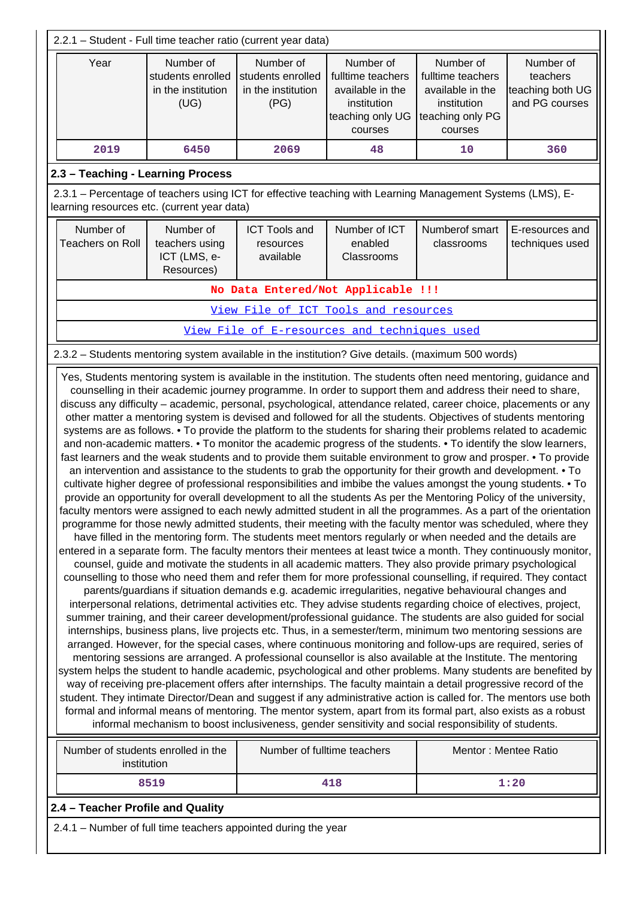|                                                                                                                                                                                                                                                                                                                                                                                                                                                                                                                                                                                                                                                                                                                                                                                                                                                                                                                                                                                                                                                                                                                                                                                                                                                                                                                                                                                                                                                                                                                                                                                                                                                                                                                                                                                                                                                                                                                                                                                                                                                                                                                                                                                                                                                                                                                                                                                                                                                                                                                                                                                                                                                                                                                                                                                                                                                                                                                                                                                                                                                                                                                                                                                                                                                                                                                                                                                                                              | 2.2.1 - Student - Full time teacher ratio (current year data) |                                                              |                                                                                                  |                                                                                                  |                                                             |  |
|------------------------------------------------------------------------------------------------------------------------------------------------------------------------------------------------------------------------------------------------------------------------------------------------------------------------------------------------------------------------------------------------------------------------------------------------------------------------------------------------------------------------------------------------------------------------------------------------------------------------------------------------------------------------------------------------------------------------------------------------------------------------------------------------------------------------------------------------------------------------------------------------------------------------------------------------------------------------------------------------------------------------------------------------------------------------------------------------------------------------------------------------------------------------------------------------------------------------------------------------------------------------------------------------------------------------------------------------------------------------------------------------------------------------------------------------------------------------------------------------------------------------------------------------------------------------------------------------------------------------------------------------------------------------------------------------------------------------------------------------------------------------------------------------------------------------------------------------------------------------------------------------------------------------------------------------------------------------------------------------------------------------------------------------------------------------------------------------------------------------------------------------------------------------------------------------------------------------------------------------------------------------------------------------------------------------------------------------------------------------------------------------------------------------------------------------------------------------------------------------------------------------------------------------------------------------------------------------------------------------------------------------------------------------------------------------------------------------------------------------------------------------------------------------------------------------------------------------------------------------------------------------------------------------------------------------------------------------------------------------------------------------------------------------------------------------------------------------------------------------------------------------------------------------------------------------------------------------------------------------------------------------------------------------------------------------------------------------------------------------------------------------------------------------------|---------------------------------------------------------------|--------------------------------------------------------------|--------------------------------------------------------------------------------------------------|--------------------------------------------------------------------------------------------------|-------------------------------------------------------------|--|
| Year                                                                                                                                                                                                                                                                                                                                                                                                                                                                                                                                                                                                                                                                                                                                                                                                                                                                                                                                                                                                                                                                                                                                                                                                                                                                                                                                                                                                                                                                                                                                                                                                                                                                                                                                                                                                                                                                                                                                                                                                                                                                                                                                                                                                                                                                                                                                                                                                                                                                                                                                                                                                                                                                                                                                                                                                                                                                                                                                                                                                                                                                                                                                                                                                                                                                                                                                                                                                                         | Number of<br>students enrolled<br>in the institution<br>(UG)  | Number of<br>students enrolled<br>in the institution<br>(PG) | Number of<br>fulltime teachers<br>available in the<br>institution<br>teaching only UG<br>courses | Number of<br>fulltime teachers<br>available in the<br>institution<br>teaching only PG<br>courses | Number of<br>teachers<br>teaching both UG<br>and PG courses |  |
| 2019                                                                                                                                                                                                                                                                                                                                                                                                                                                                                                                                                                                                                                                                                                                                                                                                                                                                                                                                                                                                                                                                                                                                                                                                                                                                                                                                                                                                                                                                                                                                                                                                                                                                                                                                                                                                                                                                                                                                                                                                                                                                                                                                                                                                                                                                                                                                                                                                                                                                                                                                                                                                                                                                                                                                                                                                                                                                                                                                                                                                                                                                                                                                                                                                                                                                                                                                                                                                                         | 6450                                                          | 2069                                                         | 48                                                                                               | 10                                                                                               | 360                                                         |  |
| 2.3 - Teaching - Learning Process                                                                                                                                                                                                                                                                                                                                                                                                                                                                                                                                                                                                                                                                                                                                                                                                                                                                                                                                                                                                                                                                                                                                                                                                                                                                                                                                                                                                                                                                                                                                                                                                                                                                                                                                                                                                                                                                                                                                                                                                                                                                                                                                                                                                                                                                                                                                                                                                                                                                                                                                                                                                                                                                                                                                                                                                                                                                                                                                                                                                                                                                                                                                                                                                                                                                                                                                                                                            |                                                               |                                                              |                                                                                                  |                                                                                                  |                                                             |  |
| 2.3.1 – Percentage of teachers using ICT for effective teaching with Learning Management Systems (LMS), E-<br>learning resources etc. (current year data)                                                                                                                                                                                                                                                                                                                                                                                                                                                                                                                                                                                                                                                                                                                                                                                                                                                                                                                                                                                                                                                                                                                                                                                                                                                                                                                                                                                                                                                                                                                                                                                                                                                                                                                                                                                                                                                                                                                                                                                                                                                                                                                                                                                                                                                                                                                                                                                                                                                                                                                                                                                                                                                                                                                                                                                                                                                                                                                                                                                                                                                                                                                                                                                                                                                                    |                                                               |                                                              |                                                                                                  |                                                                                                  |                                                             |  |
| Number of<br>Teachers on Roll                                                                                                                                                                                                                                                                                                                                                                                                                                                                                                                                                                                                                                                                                                                                                                                                                                                                                                                                                                                                                                                                                                                                                                                                                                                                                                                                                                                                                                                                                                                                                                                                                                                                                                                                                                                                                                                                                                                                                                                                                                                                                                                                                                                                                                                                                                                                                                                                                                                                                                                                                                                                                                                                                                                                                                                                                                                                                                                                                                                                                                                                                                                                                                                                                                                                                                                                                                                                | Number of<br>teachers using<br>ICT (LMS, e-<br>Resources)     | <b>ICT Tools and</b><br>resources<br>available               | Number of ICT<br>enabled<br>Classrooms                                                           | Numberof smart<br>classrooms                                                                     | E-resources and<br>techniques used                          |  |
|                                                                                                                                                                                                                                                                                                                                                                                                                                                                                                                                                                                                                                                                                                                                                                                                                                                                                                                                                                                                                                                                                                                                                                                                                                                                                                                                                                                                                                                                                                                                                                                                                                                                                                                                                                                                                                                                                                                                                                                                                                                                                                                                                                                                                                                                                                                                                                                                                                                                                                                                                                                                                                                                                                                                                                                                                                                                                                                                                                                                                                                                                                                                                                                                                                                                                                                                                                                                                              |                                                               |                                                              | No Data Entered/Not Applicable !!!                                                               |                                                                                                  |                                                             |  |
|                                                                                                                                                                                                                                                                                                                                                                                                                                                                                                                                                                                                                                                                                                                                                                                                                                                                                                                                                                                                                                                                                                                                                                                                                                                                                                                                                                                                                                                                                                                                                                                                                                                                                                                                                                                                                                                                                                                                                                                                                                                                                                                                                                                                                                                                                                                                                                                                                                                                                                                                                                                                                                                                                                                                                                                                                                                                                                                                                                                                                                                                                                                                                                                                                                                                                                                                                                                                                              |                                                               |                                                              | View File of ICT Tools and resources                                                             |                                                                                                  |                                                             |  |
|                                                                                                                                                                                                                                                                                                                                                                                                                                                                                                                                                                                                                                                                                                                                                                                                                                                                                                                                                                                                                                                                                                                                                                                                                                                                                                                                                                                                                                                                                                                                                                                                                                                                                                                                                                                                                                                                                                                                                                                                                                                                                                                                                                                                                                                                                                                                                                                                                                                                                                                                                                                                                                                                                                                                                                                                                                                                                                                                                                                                                                                                                                                                                                                                                                                                                                                                                                                                                              |                                                               |                                                              |                                                                                                  |                                                                                                  |                                                             |  |
|                                                                                                                                                                                                                                                                                                                                                                                                                                                                                                                                                                                                                                                                                                                                                                                                                                                                                                                                                                                                                                                                                                                                                                                                                                                                                                                                                                                                                                                                                                                                                                                                                                                                                                                                                                                                                                                                                                                                                                                                                                                                                                                                                                                                                                                                                                                                                                                                                                                                                                                                                                                                                                                                                                                                                                                                                                                                                                                                                                                                                                                                                                                                                                                                                                                                                                                                                                                                                              |                                                               |                                                              |                                                                                                  |                                                                                                  |                                                             |  |
| View File of E-resources and techniques used<br>2.3.2 - Students mentoring system available in the institution? Give details. (maximum 500 words)<br>Yes, Students mentoring system is available in the institution. The students often need mentoring, guidance and<br>counselling in their academic journey programme. In order to support them and address their need to share,<br>discuss any difficulty - academic, personal, psychological, attendance related, career choice, placements or any<br>other matter a mentoring system is devised and followed for all the students. Objectives of students mentoring<br>systems are as follows. • To provide the platform to the students for sharing their problems related to academic<br>and non-academic matters. • To monitor the academic progress of the students. • To identify the slow learners,<br>fast learners and the weak students and to provide them suitable environment to grow and prosper. • To provide<br>an intervention and assistance to the students to grab the opportunity for their growth and development. • To<br>cultivate higher degree of professional responsibilities and imbibe the values amongst the young students. • To<br>provide an opportunity for overall development to all the students As per the Mentoring Policy of the university,<br>faculty mentors were assigned to each newly admitted student in all the programmes. As a part of the orientation<br>programme for those newly admitted students, their meeting with the faculty mentor was scheduled, where they<br>have filled in the mentoring form. The students meet mentors regularly or when needed and the details are<br>entered in a separate form. The faculty mentors their mentees at least twice a month. They continuously monitor,<br>counsel, guide and motivate the students in all academic matters. They also provide primary psychological<br>counselling to those who need them and refer them for more professional counselling, if required. They contact<br>parents/guardians if situation demands e.g. academic irregularities, negative behavioural changes and<br>interpersonal relations, detrimental activities etc. They advise students regarding choice of electives, project,<br>summer training, and their career development/professional guidance. The students are also guided for social<br>internships, business plans, live projects etc. Thus, in a semester/term, minimum two mentoring sessions are<br>arranged. However, for the special cases, where continuous monitoring and follow-ups are required, series of<br>mentoring sessions are arranged. A professional counsellor is also available at the Institute. The mentoring<br>system helps the student to handle academic, psychological and other problems. Many students are benefited by<br>way of receiving pre-placement offers after internships. The faculty maintain a detail progressive record of the<br>student. They intimate Director/Dean and suggest if any administrative action is called for. The mentors use both<br>formal and informal means of mentoring. The mentor system, apart from its formal part, also exists as a robust<br>informal mechanism to boost inclusiveness, gender sensitivity and social responsibility of students.<br>Number of students enrolled in the<br>Number of fulltime teachers<br>Mentor: Mentee Ratio |                                                               |                                                              |                                                                                                  |                                                                                                  |                                                             |  |
|                                                                                                                                                                                                                                                                                                                                                                                                                                                                                                                                                                                                                                                                                                                                                                                                                                                                                                                                                                                                                                                                                                                                                                                                                                                                                                                                                                                                                                                                                                                                                                                                                                                                                                                                                                                                                                                                                                                                                                                                                                                                                                                                                                                                                                                                                                                                                                                                                                                                                                                                                                                                                                                                                                                                                                                                                                                                                                                                                                                                                                                                                                                                                                                                                                                                                                                                                                                                                              | 8519                                                          |                                                              | 418                                                                                              |                                                                                                  | 1:20                                                        |  |
| 2.4 - Teacher Profile and Quality<br>2.4.1 - Number of full time teachers appointed during the year                                                                                                                                                                                                                                                                                                                                                                                                                                                                                                                                                                                                                                                                                                                                                                                                                                                                                                                                                                                                                                                                                                                                                                                                                                                                                                                                                                                                                                                                                                                                                                                                                                                                                                                                                                                                                                                                                                                                                                                                                                                                                                                                                                                                                                                                                                                                                                                                                                                                                                                                                                                                                                                                                                                                                                                                                                                                                                                                                                                                                                                                                                                                                                                                                                                                                                                          |                                                               |                                                              |                                                                                                  |                                                                                                  |                                                             |  |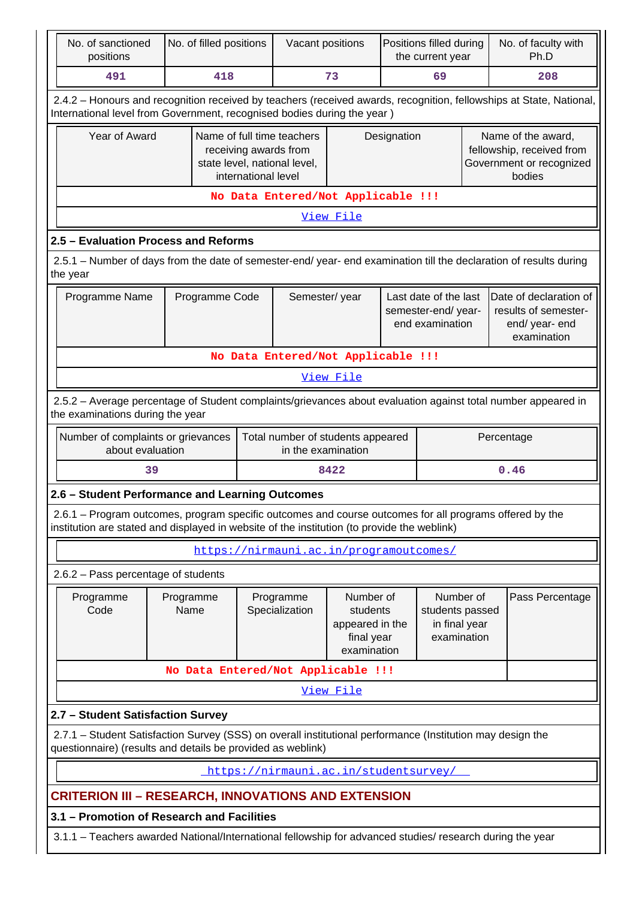| No. of sanctioned<br>positions                                                                                                                                                                         | No. of filled positions                                                                                                            |  | Vacant positions                        |                                                                       | Positions filled during<br>the current year |                                                                |     | No. of faculty with<br>Ph.D                                                                                         |
|--------------------------------------------------------------------------------------------------------------------------------------------------------------------------------------------------------|------------------------------------------------------------------------------------------------------------------------------------|--|-----------------------------------------|-----------------------------------------------------------------------|---------------------------------------------|----------------------------------------------------------------|-----|---------------------------------------------------------------------------------------------------------------------|
| 491                                                                                                                                                                                                    | 418                                                                                                                                |  | 73                                      |                                                                       | 69                                          |                                                                | 208 |                                                                                                                     |
| International level from Government, recognised bodies during the year)                                                                                                                                |                                                                                                                                    |  |                                         |                                                                       |                                             |                                                                |     | 2.4.2 - Honours and recognition received by teachers (received awards, recognition, fellowships at State, National, |
|                                                                                                                                                                                                        | Name of full time teachers<br><b>Year of Award</b><br>receiving awards from<br>state level, national level,<br>international level |  | Designation                             |                                                                       |                                             |                                                                |     | Name of the award,<br>fellowship, received from<br>Government or recognized<br>bodies                               |
|                                                                                                                                                                                                        |                                                                                                                                    |  | No Data Entered/Not Applicable !!!      |                                                                       |                                             |                                                                |     |                                                                                                                     |
| View File                                                                                                                                                                                              |                                                                                                                                    |  |                                         |                                                                       |                                             |                                                                |     |                                                                                                                     |
| 2.5 - Evaluation Process and Reforms                                                                                                                                                                   |                                                                                                                                    |  |                                         |                                                                       |                                             |                                                                |     |                                                                                                                     |
| 2.5.1 – Number of days from the date of semester-end/ year- end examination till the declaration of results during<br>the year                                                                         |                                                                                                                                    |  |                                         |                                                                       |                                             |                                                                |     |                                                                                                                     |
|                                                                                                                                                                                                        | Programme Name<br>Programme Code                                                                                                   |  | Semester/year                           |                                                                       |                                             | Last date of the last<br>semester-end/year-<br>end examination |     | Date of declaration of<br>results of semester-<br>end/ year- end<br>examination                                     |
|                                                                                                                                                                                                        |                                                                                                                                    |  | No Data Entered/Not Applicable !!!      |                                                                       |                                             |                                                                |     |                                                                                                                     |
|                                                                                                                                                                                                        |                                                                                                                                    |  |                                         | View File                                                             |                                             |                                                                |     |                                                                                                                     |
| 2.5.2 - Average percentage of Student complaints/grievances about evaluation against total number appeared in<br>the examinations during the year                                                      |                                                                                                                                    |  |                                         |                                                                       |                                             |                                                                |     |                                                                                                                     |
|                                                                                                                                                                                                        | Number of complaints or grievances<br>Total number of students appeared<br>Percentage<br>in the examination<br>about evaluation    |  |                                         |                                                                       |                                             |                                                                |     |                                                                                                                     |
|                                                                                                                                                                                                        | 39                                                                                                                                 |  |                                         | 8422                                                                  |                                             |                                                                |     | 0.46                                                                                                                |
| 2.6 - Student Performance and Learning Outcomes                                                                                                                                                        |                                                                                                                                    |  |                                         |                                                                       |                                             |                                                                |     |                                                                                                                     |
| 2.6.1 – Program outcomes, program specific outcomes and course outcomes for all programs offered by the<br>institution are stated and displayed in website of the institution (to provide the weblink) |                                                                                                                                    |  |                                         |                                                                       |                                             |                                                                |     |                                                                                                                     |
|                                                                                                                                                                                                        |                                                                                                                                    |  | https://nirmauni.ac.in/programoutcomes/ |                                                                       |                                             |                                                                |     |                                                                                                                     |
| 2.6.2 - Pass percentage of students                                                                                                                                                                    |                                                                                                                                    |  |                                         |                                                                       |                                             |                                                                |     |                                                                                                                     |
| Programme<br>Code                                                                                                                                                                                      | Programme<br>Name                                                                                                                  |  | Programme<br>Specialization             | Number of<br>students<br>appeared in the<br>final year<br>examination |                                             | Number of<br>students passed<br>in final year<br>examination   |     | Pass Percentage                                                                                                     |
|                                                                                                                                                                                                        | No Data Entered/Not Applicable !!!                                                                                                 |  |                                         |                                                                       |                                             |                                                                |     |                                                                                                                     |
|                                                                                                                                                                                                        |                                                                                                                                    |  |                                         | View File                                                             |                                             |                                                                |     |                                                                                                                     |
| 2.7 - Student Satisfaction Survey                                                                                                                                                                      |                                                                                                                                    |  |                                         |                                                                       |                                             |                                                                |     |                                                                                                                     |
| 2.7.1 - Student Satisfaction Survey (SSS) on overall institutional performance (Institution may design the<br>questionnaire) (results and details be provided as weblink)                              |                                                                                                                                    |  |                                         |                                                                       |                                             |                                                                |     |                                                                                                                     |
|                                                                                                                                                                                                        |                                                                                                                                    |  | https://nirmauni.ac.in/studentsurvey/   |                                                                       |                                             |                                                                |     |                                                                                                                     |
| <b>CRITERION III – RESEARCH, INNOVATIONS AND EXTENSION</b>                                                                                                                                             |                                                                                                                                    |  |                                         |                                                                       |                                             |                                                                |     |                                                                                                                     |
| 3.1 - Promotion of Research and Facilities                                                                                                                                                             |                                                                                                                                    |  |                                         |                                                                       |                                             |                                                                |     |                                                                                                                     |
| 3.1.1 - Teachers awarded National/International fellowship for advanced studies/ research during the year                                                                                              |                                                                                                                                    |  |                                         |                                                                       |                                             |                                                                |     |                                                                                                                     |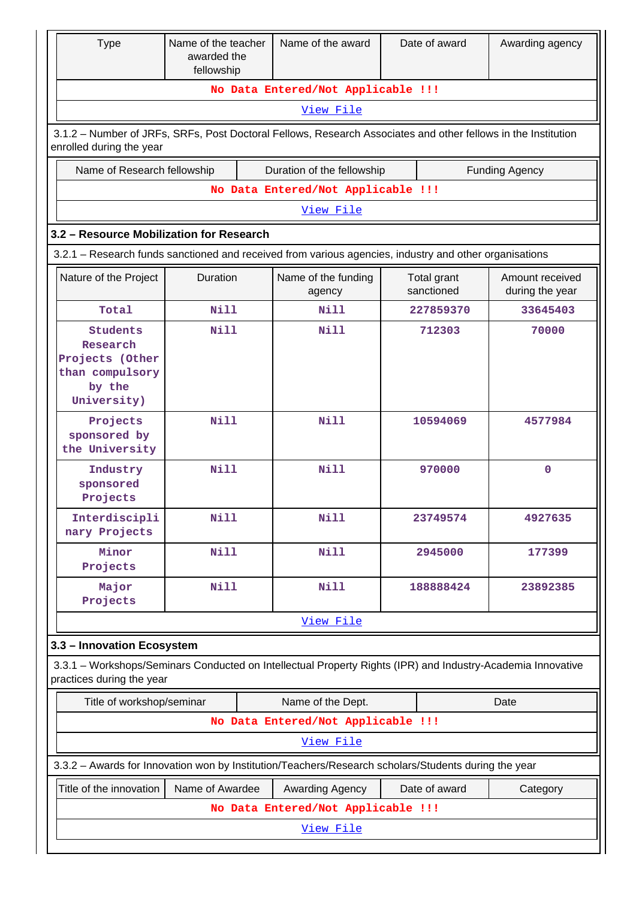| <b>Type</b>                                                                                                                               | Name of the teacher<br>awarded the<br>fellowship |  | Name of the award                  |                                    | Date of award             | Awarding agency                    |  |
|-------------------------------------------------------------------------------------------------------------------------------------------|--------------------------------------------------|--|------------------------------------|------------------------------------|---------------------------|------------------------------------|--|
|                                                                                                                                           |                                                  |  |                                    | No Data Entered/Not Applicable !!! |                           |                                    |  |
|                                                                                                                                           | View File                                        |  |                                    |                                    |                           |                                    |  |
| 3.1.2 - Number of JRFs, SRFs, Post Doctoral Fellows, Research Associates and other fellows in the Institution<br>enrolled during the year |                                                  |  |                                    |                                    |                           |                                    |  |
| Name of Research fellowship                                                                                                               |                                                  |  | Duration of the fellowship         |                                    |                           | <b>Funding Agency</b>              |  |
| No Data Entered/Not Applicable !!!                                                                                                        |                                                  |  |                                    |                                    |                           |                                    |  |
|                                                                                                                                           |                                                  |  | View File                          |                                    |                           |                                    |  |
| 3.2 - Resource Mobilization for Research                                                                                                  |                                                  |  |                                    |                                    |                           |                                    |  |
| 3.2.1 – Research funds sanctioned and received from various agencies, industry and other organisations                                    |                                                  |  |                                    |                                    |                           |                                    |  |
| Nature of the Project                                                                                                                     | Duration                                         |  | Name of the funding<br>agency      |                                    | Total grant<br>sanctioned | Amount received<br>during the year |  |
| Total                                                                                                                                     | <b>Nill</b>                                      |  | <b>Nill</b>                        |                                    | 227859370                 | 33645403                           |  |
| Students<br>Research<br>Projects (Other<br>than compulsory<br>by the<br>University)                                                       | Nill                                             |  | Nill                               |                                    | 712303                    | 70000                              |  |
| Projects<br>sponsored by<br>the University                                                                                                | <b>Nill</b>                                      |  | <b>Nill</b>                        |                                    | 10594069                  | 4577984                            |  |
| Industry<br>sponsored<br>Projects                                                                                                         | Nill                                             |  | Nill                               | 970000                             |                           | $\mathbf 0$                        |  |
| Interdiscipli<br>nary Projects                                                                                                            | <b>Nill</b>                                      |  | Nill                               | 23749574                           |                           | 4927635                            |  |
| Minor<br>Projects                                                                                                                         | <b>Nill</b>                                      |  | <b>Nill</b>                        |                                    | 2945000                   | 177399                             |  |
| Major<br>Projects                                                                                                                         | Nill                                             |  | <b>Nill</b>                        |                                    | 188888424                 | 23892385                           |  |
|                                                                                                                                           |                                                  |  | View File                          |                                    |                           |                                    |  |
| 3.3 - Innovation Ecosystem                                                                                                                |                                                  |  |                                    |                                    |                           |                                    |  |
| 3.3.1 - Workshops/Seminars Conducted on Intellectual Property Rights (IPR) and Industry-Academia Innovative<br>practices during the year  |                                                  |  |                                    |                                    |                           |                                    |  |
| Title of workshop/seminar                                                                                                                 |                                                  |  | Name of the Dept.                  |                                    |                           | Date                               |  |
|                                                                                                                                           |                                                  |  | No Data Entered/Not Applicable !!! |                                    |                           |                                    |  |
|                                                                                                                                           |                                                  |  | View File                          |                                    |                           |                                    |  |
| 3.3.2 - Awards for Innovation won by Institution/Teachers/Research scholars/Students during the year                                      |                                                  |  |                                    |                                    |                           |                                    |  |
| Title of the innovation                                                                                                                   | Name of Awardee                                  |  | Awarding Agency                    |                                    | Date of award             | Category                           |  |
|                                                                                                                                           |                                                  |  | No Data Entered/Not Applicable !!! |                                    |                           |                                    |  |
|                                                                                                                                           |                                                  |  | View File                          |                                    |                           |                                    |  |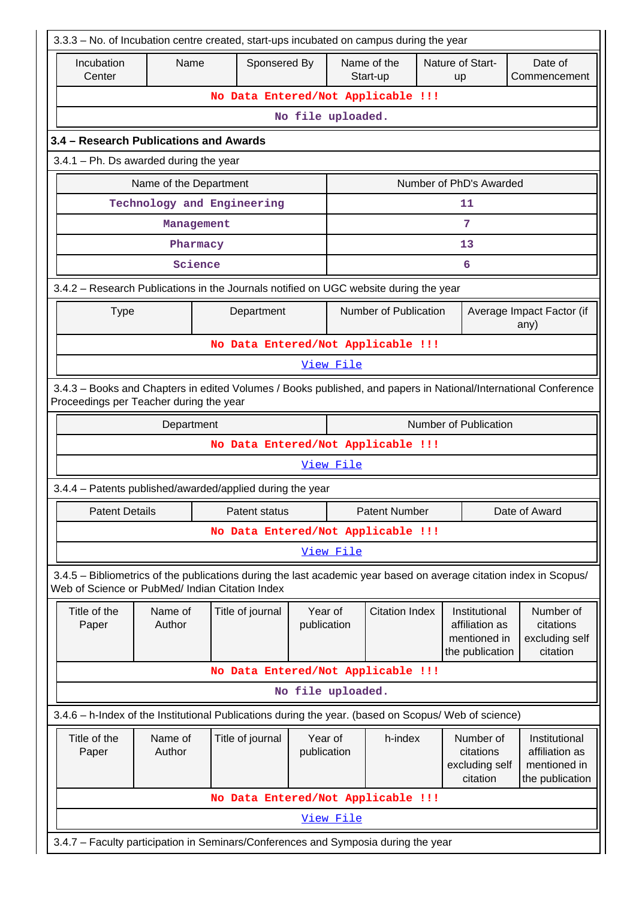|                                                                                                                                                                       | 3.3.3 - No. of Incubation centre created, start-ups incubated on campus during the year                                                                    |            |                                    |                         |                                |                         |  |                                                                    |                                   |                                                                    |
|-----------------------------------------------------------------------------------------------------------------------------------------------------------------------|------------------------------------------------------------------------------------------------------------------------------------------------------------|------------|------------------------------------|-------------------------|--------------------------------|-------------------------|--|--------------------------------------------------------------------|-----------------------------------|--------------------------------------------------------------------|
| Incubation<br>Center                                                                                                                                                  | Name                                                                                                                                                       |            | Sponsered By                       |                         |                                | Name of the<br>Start-up |  | Nature of Start-<br>up                                             | Date of                           | Commencement                                                       |
|                                                                                                                                                                       |                                                                                                                                                            |            | No Data Entered/Not Applicable !!! |                         |                                |                         |  |                                                                    |                                   |                                                                    |
|                                                                                                                                                                       |                                                                                                                                                            |            |                                    | No file uploaded.       |                                |                         |  |                                                                    |                                   |                                                                    |
|                                                                                                                                                                       | 3.4 - Research Publications and Awards                                                                                                                     |            |                                    |                         |                                |                         |  |                                                                    |                                   |                                                                    |
|                                                                                                                                                                       | $3.4.1$ – Ph. Ds awarded during the year                                                                                                                   |            |                                    |                         |                                |                         |  |                                                                    |                                   |                                                                    |
| Name of the Department                                                                                                                                                |                                                                                                                                                            |            |                                    | Number of PhD's Awarded |                                |                         |  |                                                                    |                                   |                                                                    |
|                                                                                                                                                                       | Technology and Engineering                                                                                                                                 |            |                                    |                         |                                |                         |  | 11                                                                 |                                   |                                                                    |
|                                                                                                                                                                       |                                                                                                                                                            | Management |                                    |                         |                                |                         |  | 7                                                                  |                                   |                                                                    |
|                                                                                                                                                                       |                                                                                                                                                            | Pharmacy   |                                    |                         |                                |                         |  | 13                                                                 |                                   |                                                                    |
|                                                                                                                                                                       |                                                                                                                                                            | Science    |                                    |                         |                                |                         |  | 6                                                                  |                                   |                                                                    |
| 3.4.2 - Research Publications in the Journals notified on UGC website during the year                                                                                 |                                                                                                                                                            |            |                                    |                         |                                |                         |  |                                                                    |                                   |                                                                    |
| <b>Type</b>                                                                                                                                                           |                                                                                                                                                            |            | Department                         |                         |                                | Number of Publication   |  |                                                                    | Average Impact Factor (if<br>any) |                                                                    |
|                                                                                                                                                                       |                                                                                                                                                            |            | No Data Entered/Not Applicable !!! |                         |                                |                         |  |                                                                    |                                   |                                                                    |
|                                                                                                                                                                       |                                                                                                                                                            |            |                                    |                         | View File                      |                         |  |                                                                    |                                   |                                                                    |
|                                                                                                                                                                       | 3.4.3 - Books and Chapters in edited Volumes / Books published, and papers in National/International Conference<br>Proceedings per Teacher during the year |            |                                    |                         |                                |                         |  |                                                                    |                                   |                                                                    |
|                                                                                                                                                                       | Number of Publication<br>Department                                                                                                                        |            |                                    |                         |                                |                         |  |                                                                    |                                   |                                                                    |
|                                                                                                                                                                       |                                                                                                                                                            |            | No Data Entered/Not Applicable !!! |                         |                                |                         |  |                                                                    |                                   |                                                                    |
|                                                                                                                                                                       |                                                                                                                                                            |            |                                    |                         | View File                      |                         |  |                                                                    |                                   |                                                                    |
| 3.4.4 - Patents published/awarded/applied during the year                                                                                                             |                                                                                                                                                            |            |                                    |                         |                                |                         |  |                                                                    |                                   |                                                                    |
| Patent Details                                                                                                                                                        |                                                                                                                                                            |            | Patent status                      |                         | Patent Number<br>Date of Award |                         |  |                                                                    |                                   |                                                                    |
|                                                                                                                                                                       |                                                                                                                                                            |            | No Data Entered/Not Applicable !!! |                         |                                |                         |  |                                                                    |                                   |                                                                    |
|                                                                                                                                                                       |                                                                                                                                                            |            |                                    |                         | View File                      |                         |  |                                                                    |                                   |                                                                    |
| 3.4.5 - Bibliometrics of the publications during the last academic year based on average citation index in Scopus/<br>Web of Science or PubMed/ Indian Citation Index |                                                                                                                                                            |            |                                    |                         |                                |                         |  |                                                                    |                                   |                                                                    |
| Title of the<br>Paper                                                                                                                                                 | Name of<br>Author                                                                                                                                          |            | Title of journal                   | Year of<br>publication  |                                | <b>Citation Index</b>   |  | Institutional<br>affiliation as<br>mentioned in<br>the publication |                                   | Number of<br>citations<br>excluding self<br>citation               |
|                                                                                                                                                                       |                                                                                                                                                            |            | No Data Entered/Not Applicable !!! |                         |                                |                         |  |                                                                    |                                   |                                                                    |
|                                                                                                                                                                       |                                                                                                                                                            |            |                                    | No file uploaded.       |                                |                         |  |                                                                    |                                   |                                                                    |
| 3.4.6 - h-Index of the Institutional Publications during the year. (based on Scopus/ Web of science)                                                                  |                                                                                                                                                            |            |                                    |                         |                                |                         |  |                                                                    |                                   |                                                                    |
| Title of the<br>Paper                                                                                                                                                 | Name of<br>Author                                                                                                                                          |            | Title of journal                   | Year of<br>publication  |                                | h-index                 |  | Number of<br>citations<br>excluding self<br>citation               |                                   | Institutional<br>affiliation as<br>mentioned in<br>the publication |
|                                                                                                                                                                       |                                                                                                                                                            |            | No Data Entered/Not Applicable !!! |                         |                                |                         |  |                                                                    |                                   |                                                                    |
|                                                                                                                                                                       |                                                                                                                                                            |            |                                    |                         | View File                      |                         |  |                                                                    |                                   |                                                                    |
| 3.4.7 - Faculty participation in Seminars/Conferences and Symposia during the year                                                                                    |                                                                                                                                                            |            |                                    |                         |                                |                         |  |                                                                    |                                   |                                                                    |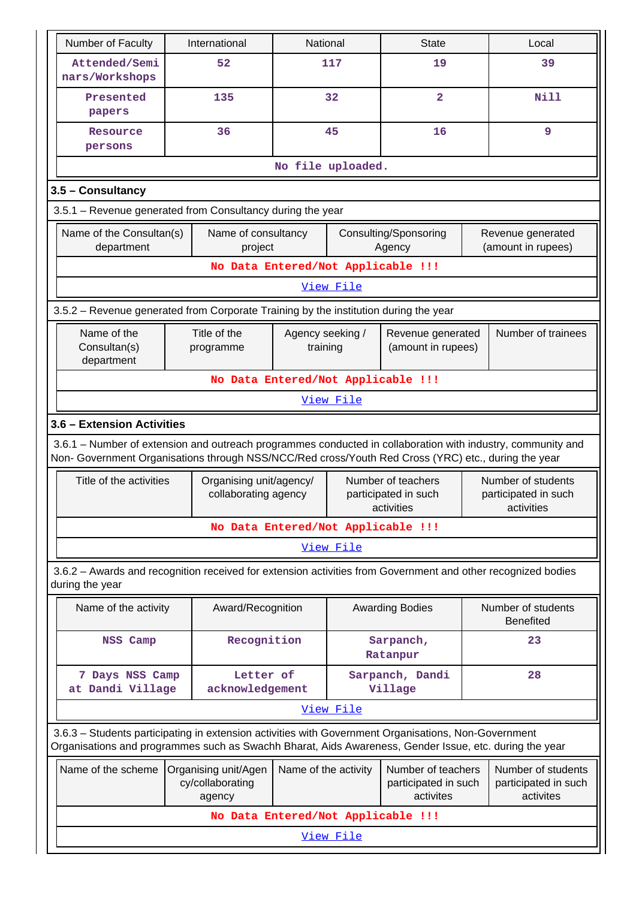| Number of Faculty                                                                                                                                                                                                  |  | International                                   |                                                         | National<br><b>State</b> |                                                          |                                                         | Local                                                    |  |
|--------------------------------------------------------------------------------------------------------------------------------------------------------------------------------------------------------------------|--|-------------------------------------------------|---------------------------------------------------------|--------------------------|----------------------------------------------------------|---------------------------------------------------------|----------------------------------------------------------|--|
| Attended/Semi<br>nars/Workshops                                                                                                                                                                                    |  | 52                                              |                                                         | 117                      | 19                                                       |                                                         | 39                                                       |  |
| Presented<br>papers                                                                                                                                                                                                |  | 135                                             |                                                         | 32                       | $\overline{\mathbf{2}}$                                  |                                                         | <b>Nill</b>                                              |  |
| Resource<br>persons                                                                                                                                                                                                |  | 36                                              |                                                         | 45                       | 16                                                       |                                                         | 9                                                        |  |
|                                                                                                                                                                                                                    |  |                                                 |                                                         | No file uploaded.        |                                                          |                                                         |                                                          |  |
| 3.5 - Consultancy                                                                                                                                                                                                  |  |                                                 |                                                         |                          |                                                          |                                                         |                                                          |  |
| 3.5.1 - Revenue generated from Consultancy during the year                                                                                                                                                         |  |                                                 |                                                         |                          |                                                          |                                                         |                                                          |  |
| Name of the Consultan(s)<br>department                                                                                                                                                                             |  | Name of consultancy<br>project                  |                                                         |                          | Consulting/Sponsoring<br>Agency                          |                                                         | Revenue generated<br>(amount in rupees)                  |  |
|                                                                                                                                                                                                                    |  | No Data Entered/Not Applicable !!!              |                                                         |                          |                                                          |                                                         |                                                          |  |
|                                                                                                                                                                                                                    |  |                                                 |                                                         | View File                |                                                          |                                                         |                                                          |  |
| 3.5.2 - Revenue generated from Corporate Training by the institution during the year                                                                                                                               |  |                                                 |                                                         |                          |                                                          |                                                         |                                                          |  |
| Name of the<br>Consultan(s)<br>department                                                                                                                                                                          |  | Title of the<br>programme                       | Agency seeking /<br>training                            |                          | Revenue generated<br>(amount in rupees)                  |                                                         | Number of trainees                                       |  |
|                                                                                                                                                                                                                    |  | No Data Entered/Not Applicable !!!              |                                                         |                          |                                                          |                                                         |                                                          |  |
| View File                                                                                                                                                                                                          |  |                                                 |                                                         |                          |                                                          |                                                         |                                                          |  |
| 3.6 - Extension Activities                                                                                                                                                                                         |  |                                                 |                                                         |                          |                                                          |                                                         |                                                          |  |
| 3.6.1 – Number of extension and outreach programmes conducted in collaboration with industry, community and<br>Non- Government Organisations through NSS/NCC/Red cross/Youth Red Cross (YRC) etc., during the year |  |                                                 |                                                         |                          |                                                          |                                                         |                                                          |  |
| Title of the activities                                                                                                                                                                                            |  | Organising unit/agency/<br>collaborating agency |                                                         |                          | Number of teachers<br>participated in such<br>activities |                                                         | Number of students<br>participated in such<br>activities |  |
|                                                                                                                                                                                                                    |  | No Data Entered/Not Applicable !!!              |                                                         |                          |                                                          |                                                         |                                                          |  |
|                                                                                                                                                                                                                    |  |                                                 |                                                         | View File                |                                                          |                                                         |                                                          |  |
| 3.6.2 - Awards and recognition received for extension activities from Government and other recognized bodies<br>during the year                                                                                    |  |                                                 |                                                         |                          |                                                          |                                                         |                                                          |  |
| Name of the activity                                                                                                                                                                                               |  | Award/Recognition                               |                                                         |                          | <b>Awarding Bodies</b>                                   |                                                         | Number of students<br><b>Benefited</b>                   |  |
| NSS Camp                                                                                                                                                                                                           |  | Recognition                                     |                                                         |                          | Sarpanch,<br>Ratanpur                                    |                                                         | 23                                                       |  |
| 7 Days NSS Camp<br>at Dandi Village                                                                                                                                                                                |  | Letter of<br>acknowledgement                    |                                                         |                          | Sarpanch, Dandi<br>Village                               |                                                         | 28                                                       |  |
|                                                                                                                                                                                                                    |  |                                                 |                                                         | View File                |                                                          |                                                         |                                                          |  |
| 3.6.3 - Students participating in extension activities with Government Organisations, Non-Government<br>Organisations and programmes such as Swachh Bharat, Aids Awareness, Gender Issue, etc. during the year     |  |                                                 |                                                         |                          |                                                          |                                                         |                                                          |  |
| Name of the scheme<br>Organising unit/Agen<br>cy/collaborating<br>agency                                                                                                                                           |  | Name of the activity                            | Number of teachers<br>participated in such<br>activites |                          |                                                          | Number of students<br>participated in such<br>activites |                                                          |  |
| No Data Entered/Not Applicable !!!                                                                                                                                                                                 |  |                                                 |                                                         |                          |                                                          |                                                         |                                                          |  |
| View File                                                                                                                                                                                                          |  |                                                 |                                                         |                          |                                                          |                                                         |                                                          |  |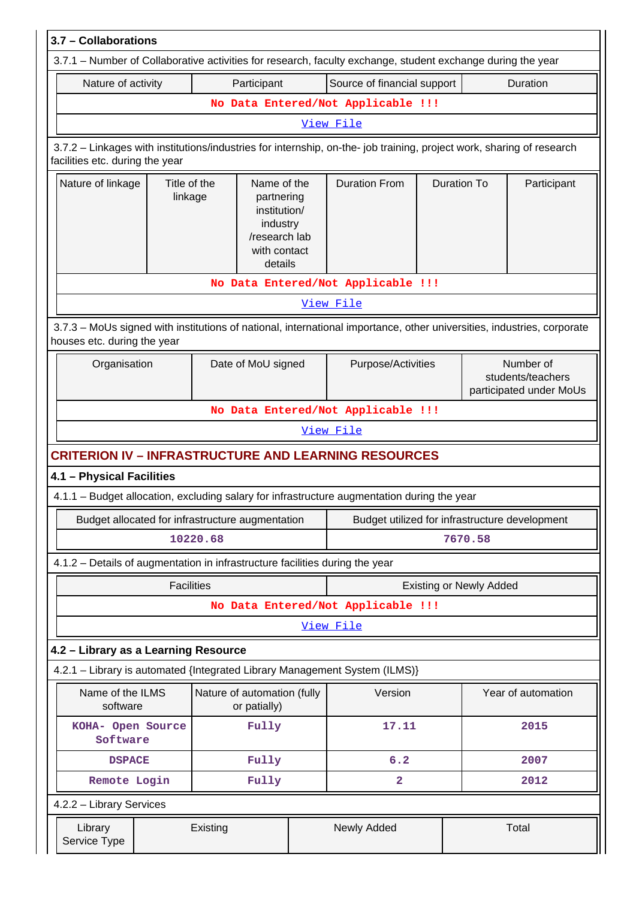| 3.7 - Collaborations                                                                                                                                     |                                                                                                   |  |                                                |                    |                                                           |                    |  |
|----------------------------------------------------------------------------------------------------------------------------------------------------------|---------------------------------------------------------------------------------------------------|--|------------------------------------------------|--------------------|-----------------------------------------------------------|--------------------|--|
| 3.7.1 – Number of Collaborative activities for research, faculty exchange, student exchange during the year                                              |                                                                                                   |  |                                                |                    |                                                           |                    |  |
| Nature of activity                                                                                                                                       | Participant                                                                                       |  | Source of financial support                    |                    |                                                           | Duration           |  |
|                                                                                                                                                          |                                                                                                   |  | No Data Entered/Not Applicable !!!             |                    |                                                           |                    |  |
| View File                                                                                                                                                |                                                                                                   |  |                                                |                    |                                                           |                    |  |
| 3.7.2 - Linkages with institutions/industries for internship, on-the- job training, project work, sharing of research<br>facilities etc. during the year |                                                                                                   |  |                                                |                    |                                                           |                    |  |
| Nature of linkage<br>Title of the<br>linkage                                                                                                             | Name of the<br>partnering<br>institution/<br>industry<br>/research lab<br>with contact<br>details |  | <b>Duration From</b>                           | <b>Duration To</b> |                                                           | Participant        |  |
|                                                                                                                                                          |                                                                                                   |  | No Data Entered/Not Applicable !!!             |                    |                                                           |                    |  |
|                                                                                                                                                          |                                                                                                   |  | View File                                      |                    |                                                           |                    |  |
| 3.7.3 - MoUs signed with institutions of national, international importance, other universities, industries, corporate<br>houses etc. during the year    |                                                                                                   |  |                                                |                    |                                                           |                    |  |
| Organisation                                                                                                                                             | Date of MoU signed                                                                                |  | Purpose/Activities                             |                    | Number of<br>students/teachers<br>participated under MoUs |                    |  |
|                                                                                                                                                          | No Data Entered/Not Applicable !!!                                                                |  |                                                |                    |                                                           |                    |  |
|                                                                                                                                                          | View File                                                                                         |  |                                                |                    |                                                           |                    |  |
| <b>CRITERION IV – INFRASTRUCTURE AND LEARNING RESOURCES</b>                                                                                              |                                                                                                   |  |                                                |                    |                                                           |                    |  |
| 4.1 - Physical Facilities                                                                                                                                |                                                                                                   |  |                                                |                    |                                                           |                    |  |
| 4.1.1 – Budget allocation, excluding salary for infrastructure augmentation during the year                                                              |                                                                                                   |  |                                                |                    |                                                           |                    |  |
| Budget allocated for infrastructure augmentation                                                                                                         |                                                                                                   |  | Budget utilized for infrastructure development |                    |                                                           |                    |  |
|                                                                                                                                                          | 10220.68                                                                                          |  | 7670.58                                        |                    |                                                           |                    |  |
| 4.1.2 - Details of augmentation in infrastructure facilities during the year                                                                             |                                                                                                   |  |                                                |                    |                                                           |                    |  |
| <b>Facilities</b>                                                                                                                                        |                                                                                                   |  |                                                |                    | <b>Existing or Newly Added</b>                            |                    |  |
|                                                                                                                                                          |                                                                                                   |  | No Data Entered/Not Applicable !!!             |                    |                                                           |                    |  |
|                                                                                                                                                          |                                                                                                   |  | View File                                      |                    |                                                           |                    |  |
| 4.2 - Library as a Learning Resource                                                                                                                     |                                                                                                   |  |                                                |                    |                                                           |                    |  |
| 4.2.1 - Library is automated {Integrated Library Management System (ILMS)}                                                                               |                                                                                                   |  |                                                |                    |                                                           |                    |  |
| Name of the ILMS<br>software                                                                                                                             | Nature of automation (fully<br>or patially)                                                       |  | Version                                        |                    |                                                           | Year of automation |  |
| KOHA- Open Source<br>Software                                                                                                                            | Fully                                                                                             |  | 17.11                                          |                    |                                                           | 2015               |  |
| <b>DSPACE</b>                                                                                                                                            | Fully                                                                                             |  | 6.2                                            |                    |                                                           | 2007               |  |
| Remote Login                                                                                                                                             | Fully                                                                                             |  | $\overline{a}$                                 |                    |                                                           | 2012               |  |
| 4.2.2 - Library Services                                                                                                                                 |                                                                                                   |  |                                                |                    |                                                           |                    |  |
| Library<br>Service Type                                                                                                                                  | Existing                                                                                          |  | Newly Added                                    |                    |                                                           | Total              |  |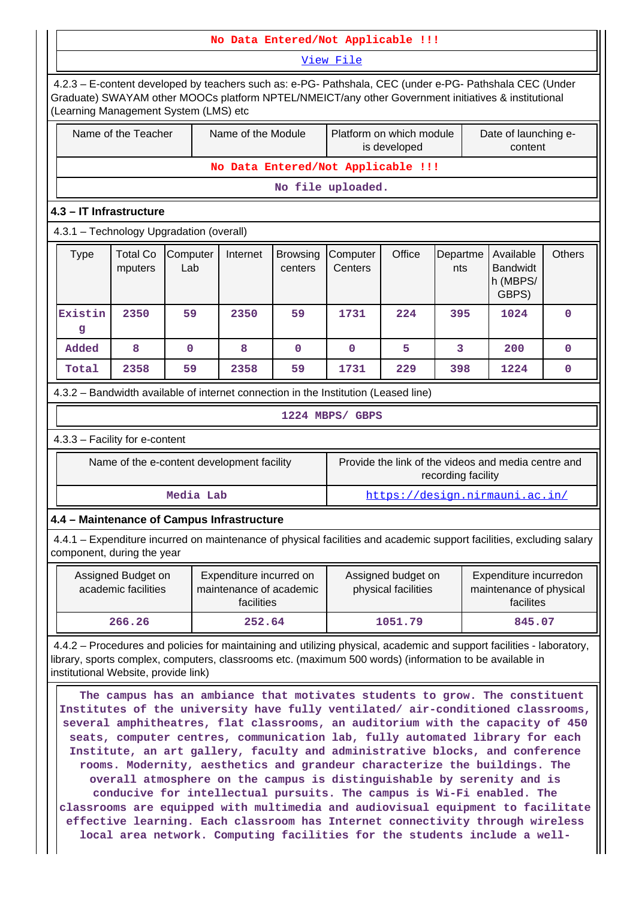|                                                                                                                                                                                                                                                                          | No Data Entered/Not Applicable !!!                                                                                                                                                                                                                                                                                                                                                                                                                                                            |                                            |                                                                  |                                    |                     |                                           |                    |                                                                |               |
|--------------------------------------------------------------------------------------------------------------------------------------------------------------------------------------------------------------------------------------------------------------------------|-----------------------------------------------------------------------------------------------------------------------------------------------------------------------------------------------------------------------------------------------------------------------------------------------------------------------------------------------------------------------------------------------------------------------------------------------------------------------------------------------|--------------------------------------------|------------------------------------------------------------------|------------------------------------|---------------------|-------------------------------------------|--------------------|----------------------------------------------------------------|---------------|
|                                                                                                                                                                                                                                                                          | View File                                                                                                                                                                                                                                                                                                                                                                                                                                                                                     |                                            |                                                                  |                                    |                     |                                           |                    |                                                                |               |
| 4.2.3 - E-content developed by teachers such as: e-PG- Pathshala, CEC (under e-PG- Pathshala CEC (Under<br>Graduate) SWAYAM other MOOCs platform NPTEL/NMEICT/any other Government initiatives & institutional<br>(Learning Management System (LMS) etc                  |                                                                                                                                                                                                                                                                                                                                                                                                                                                                                               |                                            |                                                                  |                                    |                     |                                           |                    |                                                                |               |
|                                                                                                                                                                                                                                                                          | Name of the Module<br>Name of the Teacher<br>Platform on which module<br>Date of launching e-<br>is developed<br>content                                                                                                                                                                                                                                                                                                                                                                      |                                            |                                                                  |                                    |                     |                                           |                    |                                                                |               |
|                                                                                                                                                                                                                                                                          |                                                                                                                                                                                                                                                                                                                                                                                                                                                                                               |                                            |                                                                  | No Data Entered/Not Applicable !!! |                     |                                           |                    |                                                                |               |
|                                                                                                                                                                                                                                                                          |                                                                                                                                                                                                                                                                                                                                                                                                                                                                                               |                                            |                                                                  |                                    | No file uploaded.   |                                           |                    |                                                                |               |
| 4.3 - IT Infrastructure                                                                                                                                                                                                                                                  |                                                                                                                                                                                                                                                                                                                                                                                                                                                                                               |                                            |                                                                  |                                    |                     |                                           |                    |                                                                |               |
| 4.3.1 - Technology Upgradation (overall)                                                                                                                                                                                                                                 |                                                                                                                                                                                                                                                                                                                                                                                                                                                                                               |                                            |                                                                  |                                    |                     |                                           |                    |                                                                |               |
| <b>Type</b>                                                                                                                                                                                                                                                              | <b>Total Co</b><br>mputers                                                                                                                                                                                                                                                                                                                                                                                                                                                                    | Computer<br>Lab                            | Internet                                                         | <b>Browsing</b><br>centers         | Computer<br>Centers | Office                                    | Departme<br>nts    | Available<br><b>Bandwidt</b><br>h (MBPS/<br>GBPS)              | <b>Others</b> |
| Existin<br>g                                                                                                                                                                                                                                                             | 2350                                                                                                                                                                                                                                                                                                                                                                                                                                                                                          | 59                                         | 2350                                                             | 59                                 | 1731                | 224                                       | 395                | 1024                                                           | 0             |
| Added                                                                                                                                                                                                                                                                    | 8                                                                                                                                                                                                                                                                                                                                                                                                                                                                                             | $\mathbf 0$                                | 8                                                                | $\Omega$                           | $\mathbf{O}$        | 5                                         | 3                  | 200                                                            | 0             |
| Total                                                                                                                                                                                                                                                                    | 2358                                                                                                                                                                                                                                                                                                                                                                                                                                                                                          | 59                                         | 2358                                                             | 59                                 | 1731                | 229                                       | 398                | 1224                                                           | 0             |
| 4.3.2 - Bandwidth available of internet connection in the Institution (Leased line)                                                                                                                                                                                      |                                                                                                                                                                                                                                                                                                                                                                                                                                                                                               |                                            |                                                                  |                                    |                     |                                           |                    |                                                                |               |
|                                                                                                                                                                                                                                                                          | 1224 MBPS/ GBPS                                                                                                                                                                                                                                                                                                                                                                                                                                                                               |                                            |                                                                  |                                    |                     |                                           |                    |                                                                |               |
| 4.3.3 - Facility for e-content                                                                                                                                                                                                                                           |                                                                                                                                                                                                                                                                                                                                                                                                                                                                                               |                                            |                                                                  |                                    |                     |                                           |                    |                                                                |               |
|                                                                                                                                                                                                                                                                          |                                                                                                                                                                                                                                                                                                                                                                                                                                                                                               | Name of the e-content development facility |                                                                  |                                    |                     |                                           | recording facility | Provide the link of the videos and media centre and            |               |
|                                                                                                                                                                                                                                                                          |                                                                                                                                                                                                                                                                                                                                                                                                                                                                                               | Media Lab                                  |                                                                  |                                    |                     |                                           |                    | https://design.nirmauni.ac.in/                                 |               |
| 4.4 - Maintenance of Campus Infrastructure                                                                                                                                                                                                                               |                                                                                                                                                                                                                                                                                                                                                                                                                                                                                               |                                            |                                                                  |                                    |                     |                                           |                    |                                                                |               |
| 4.4.1 – Expenditure incurred on maintenance of physical facilities and academic support facilities, excluding salary<br>component, during the year                                                                                                                       |                                                                                                                                                                                                                                                                                                                                                                                                                                                                                               |                                            |                                                                  |                                    |                     |                                           |                    |                                                                |               |
|                                                                                                                                                                                                                                                                          | Assigned Budget on<br>academic facilities                                                                                                                                                                                                                                                                                                                                                                                                                                                     |                                            | Expenditure incurred on<br>maintenance of academic<br>facilities |                                    |                     | Assigned budget on<br>physical facilities |                    | Expenditure incurredon<br>maintenance of physical<br>facilites |               |
|                                                                                                                                                                                                                                                                          | 266.26                                                                                                                                                                                                                                                                                                                                                                                                                                                                                        |                                            | 252.64                                                           |                                    |                     | 1051.79                                   |                    | 845.07                                                         |               |
| 4.4.2 – Procedures and policies for maintaining and utilizing physical, academic and support facilities - laboratory,<br>library, sports complex, computers, classrooms etc. (maximum 500 words) (information to be available in<br>institutional Website, provide link) |                                                                                                                                                                                                                                                                                                                                                                                                                                                                                               |                                            |                                                                  |                                    |                     |                                           |                    |                                                                |               |
|                                                                                                                                                                                                                                                                          | The campus has an ambiance that motivates students to grow. The constituent<br>Institutes of the university have fully ventilated/ air-conditioned classrooms,<br>several amphitheatres, flat classrooms, an auditorium with the capacity of 450<br>seats, computer centres, communication lab, fully automated library for each<br>Institute, an art gallery, faculty and administrative blocks, and conference<br>rooms. Modernity, aesthetics and grandeur characterize the buildings. The |                                            |                                                                  |                                    |                     |                                           |                    |                                                                |               |

**overall atmosphere on the campus is distinguishable by serenity and is conducive for intellectual pursuits. The campus is Wi-Fi enabled. The classrooms are equipped with multimedia and audiovisual equipment to facilitate effective learning. Each classroom has Internet connectivity through wireless local area network. Computing facilities for the students include a well-**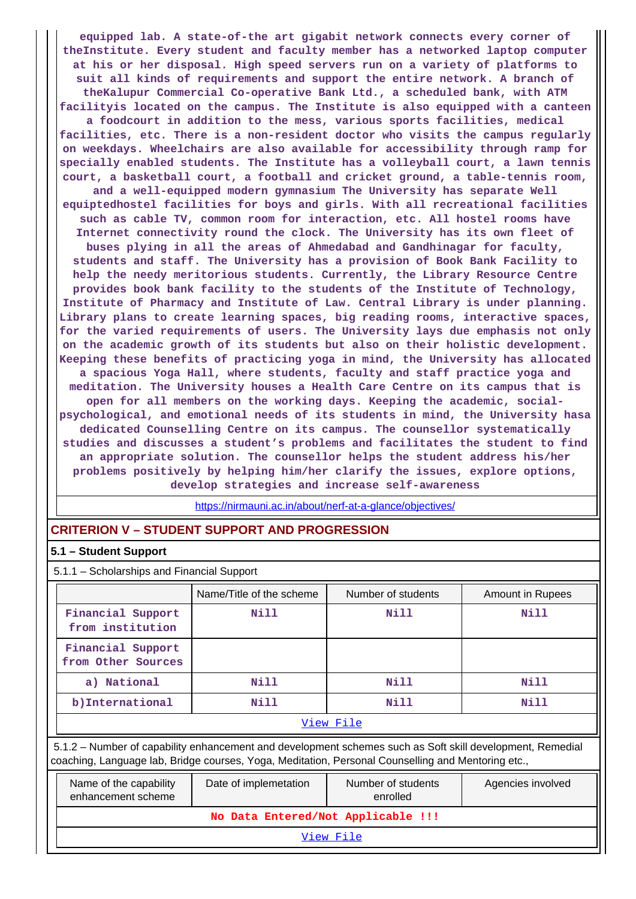**equipped lab. A state-of-the art gigabit network connects every corner of theInstitute. Every student and faculty member has a networked laptop computer at his or her disposal. High speed servers run on a variety of platforms to suit all kinds of requirements and support the entire network. A branch of theKalupur Commercial Co-operative Bank Ltd., a scheduled bank, with ATM facilityis located on the campus. The Institute is also equipped with a canteen a foodcourt in addition to the mess, various sports facilities, medical facilities, etc. There is a non-resident doctor who visits the campus regularly on weekdays. Wheelchairs are also available for accessibility through ramp for specially enabled students. The Institute has a volleyball court, a lawn tennis court, a basketball court, a football and cricket ground, a table-tennis room, and a well-equipped modern gymnasium The University has separate Well equiptedhostel facilities for boys and girls. With all recreational facilities such as cable TV, common room for interaction, etc. All hostel rooms have Internet connectivity round the clock. The University has its own fleet of buses plying in all the areas of Ahmedabad and Gandhinagar for faculty, students and staff. The University has a provision of Book Bank Facility to help the needy meritorious students. Currently, the Library Resource Centre provides book bank facility to the students of the Institute of Technology, Institute of Pharmacy and Institute of Law. Central Library is under planning. Library plans to create learning spaces, big reading rooms, interactive spaces, for the varied requirements of users. The University lays due emphasis not only on the academic growth of its students but also on their holistic development. Keeping these benefits of practicing yoga in mind, the University has allocated a spacious Yoga Hall, where students, faculty and staff practice yoga and meditation. The University houses a Health Care Centre on its campus that is open for all members on the working days. Keeping the academic, socialpsychological, and emotional needs of its students in mind, the University hasa dedicated Counselling Centre on its campus. The counsellor systematically studies and discusses a student's problems and facilitates the student to find an appropriate solution. The counsellor helps the student address his/her problems positively by helping him/her clarify the issues, explore options, develop strategies and increase self-awareness**

<https://nirmauni.ac.in/about/nerf-at-a-glance/objectives/>

## **CRITERION V – STUDENT SUPPORT AND PROGRESSION**

#### **5.1 – Student Support**

5.1.1 – Scholarships and Financial Support

|                                                                                                                                                                                                                 | Name/Title of the scheme | Number of students             | <b>Amount in Rupees</b> |  |  |  |  |
|-----------------------------------------------------------------------------------------------------------------------------------------------------------------------------------------------------------------|--------------------------|--------------------------------|-------------------------|--|--|--|--|
| Financial Support<br>from institution                                                                                                                                                                           | Nill                     | Nill                           | Nill                    |  |  |  |  |
| Financial Support<br>from Other Sources                                                                                                                                                                         |                          |                                |                         |  |  |  |  |
| a) National                                                                                                                                                                                                     | Nill                     | Nill                           | Nill                    |  |  |  |  |
| b) International                                                                                                                                                                                                | Nill                     | Nill                           | Nill                    |  |  |  |  |
|                                                                                                                                                                                                                 |                          | View File                      |                         |  |  |  |  |
| 5.1.2 – Number of capability enhancement and development schemes such as Soft skill development, Remedial<br>coaching, Language lab, Bridge courses, Yoga, Meditation, Personal Counselling and Mentoring etc., |                          |                                |                         |  |  |  |  |
| Name of the capability<br>enhancement scheme                                                                                                                                                                    | Date of implemetation    | Number of students<br>enrolled | Agencies involved       |  |  |  |  |
| No Data Entered/Not Applicable !!!                                                                                                                                                                              |                          |                                |                         |  |  |  |  |

[View File](https://assessmentonline.naac.gov.in/public/Postacc/Development_Schemes/9389_Development_Schemes_1615898245.xls)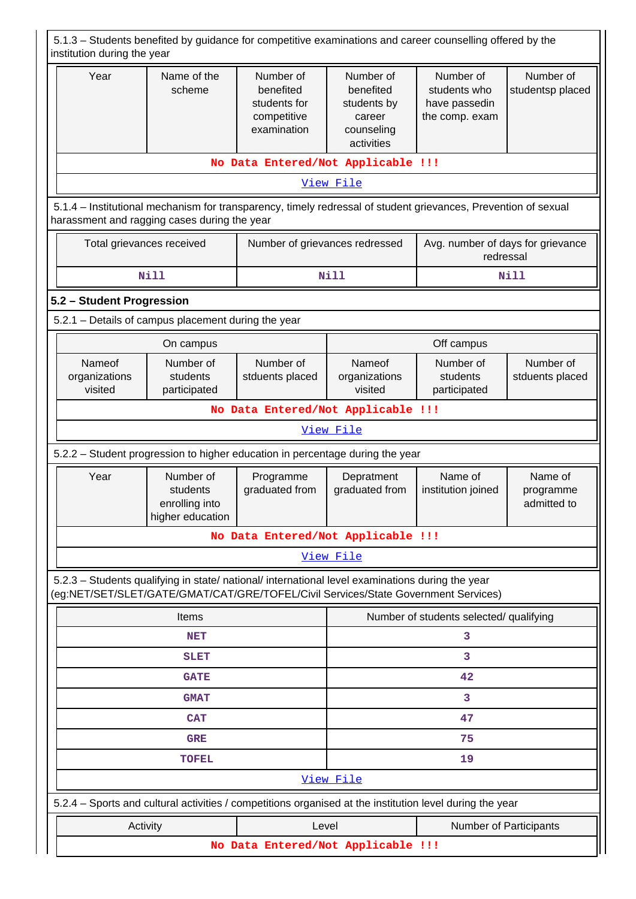| 5.1.3 – Students benefited by guidance for competitive examinations and career counselling offered by the<br>institution during the year                                               |                                                             |                                                                      |                                                                             |                                                              |                                     |  |  |
|----------------------------------------------------------------------------------------------------------------------------------------------------------------------------------------|-------------------------------------------------------------|----------------------------------------------------------------------|-----------------------------------------------------------------------------|--------------------------------------------------------------|-------------------------------------|--|--|
| Year                                                                                                                                                                                   | Name of the<br>scheme                                       | Number of<br>benefited<br>students for<br>competitive<br>examination | Number of<br>benefited<br>students by<br>career<br>counseling<br>activities | Number of<br>students who<br>have passedin<br>the comp. exam | Number of<br>studentsp placed       |  |  |
|                                                                                                                                                                                        |                                                             | No Data Entered/Not Applicable !!!                                   |                                                                             |                                                              |                                     |  |  |
|                                                                                                                                                                                        | View File                                                   |                                                                      |                                                                             |                                                              |                                     |  |  |
| 5.1.4 – Institutional mechanism for transparency, timely redressal of student grievances, Prevention of sexual<br>harassment and ragging cases during the year                         |                                                             |                                                                      |                                                                             |                                                              |                                     |  |  |
| Number of grievances redressed<br>Total grievances received                                                                                                                            |                                                             |                                                                      |                                                                             | Avg. number of days for grievance<br>redressal               |                                     |  |  |
|                                                                                                                                                                                        | <b>Nill</b>                                                 |                                                                      | <b>Nill</b>                                                                 |                                                              | Nill                                |  |  |
| 5.2 - Student Progression                                                                                                                                                              |                                                             |                                                                      |                                                                             |                                                              |                                     |  |  |
| 5.2.1 - Details of campus placement during the year                                                                                                                                    |                                                             |                                                                      |                                                                             |                                                              |                                     |  |  |
|                                                                                                                                                                                        | On campus                                                   |                                                                      |                                                                             | Off campus                                                   |                                     |  |  |
| Nameof<br>organizations<br>visited                                                                                                                                                     | Number of<br>students<br>participated                       | Number of<br>stduents placed                                         | Nameof<br>organizations<br>visited                                          | Number of<br>students<br>participated                        | Number of<br>stduents placed        |  |  |
| No Data Entered/Not Applicable !!!                                                                                                                                                     |                                                             |                                                                      |                                                                             |                                                              |                                     |  |  |
|                                                                                                                                                                                        | View File                                                   |                                                                      |                                                                             |                                                              |                                     |  |  |
| 5.2.2 - Student progression to higher education in percentage during the year                                                                                                          |                                                             |                                                                      |                                                                             |                                                              |                                     |  |  |
| Year                                                                                                                                                                                   | Number of<br>students<br>enrolling into<br>higher education | Programme<br>graduated from                                          | Depratment<br>graduated from                                                | Name of<br>institution joined                                | Name of<br>programme<br>admitted to |  |  |
|                                                                                                                                                                                        |                                                             | No Data Entered/Not Applicable !!!                                   |                                                                             |                                                              |                                     |  |  |
|                                                                                                                                                                                        |                                                             |                                                                      | View File                                                                   |                                                              |                                     |  |  |
| 5.2.3 - Students qualifying in state/ national/ international level examinations during the year<br>(eg:NET/SET/SLET/GATE/GMAT/CAT/GRE/TOFEL/Civil Services/State Government Services) |                                                             |                                                                      |                                                                             |                                                              |                                     |  |  |
|                                                                                                                                                                                        | Items                                                       |                                                                      |                                                                             | Number of students selected/ qualifying                      |                                     |  |  |
|                                                                                                                                                                                        | <b>NET</b>                                                  |                                                                      |                                                                             | 3                                                            |                                     |  |  |
|                                                                                                                                                                                        | <b>SLET</b>                                                 |                                                                      |                                                                             | 3                                                            |                                     |  |  |
|                                                                                                                                                                                        | <b>GATE</b>                                                 |                                                                      | 42                                                                          |                                                              |                                     |  |  |
|                                                                                                                                                                                        | <b>GMAT</b>                                                 |                                                                      |                                                                             | 3                                                            |                                     |  |  |
|                                                                                                                                                                                        | <b>CAT</b>                                                  |                                                                      | 47                                                                          |                                                              |                                     |  |  |
|                                                                                                                                                                                        | <b>GRE</b>                                                  |                                                                      | 75                                                                          |                                                              |                                     |  |  |
|                                                                                                                                                                                        | <b>TOFEL</b>                                                |                                                                      | View File                                                                   | 19                                                           |                                     |  |  |
| 5.2.4 – Sports and cultural activities / competitions organised at the institution level during the year                                                                               |                                                             |                                                                      |                                                                             |                                                              |                                     |  |  |
| Activity                                                                                                                                                                               |                                                             | Level                                                                |                                                                             | Number of Participants                                       |                                     |  |  |
|                                                                                                                                                                                        |                                                             | No Data Entered/Not Applicable !!!                                   |                                                                             |                                                              |                                     |  |  |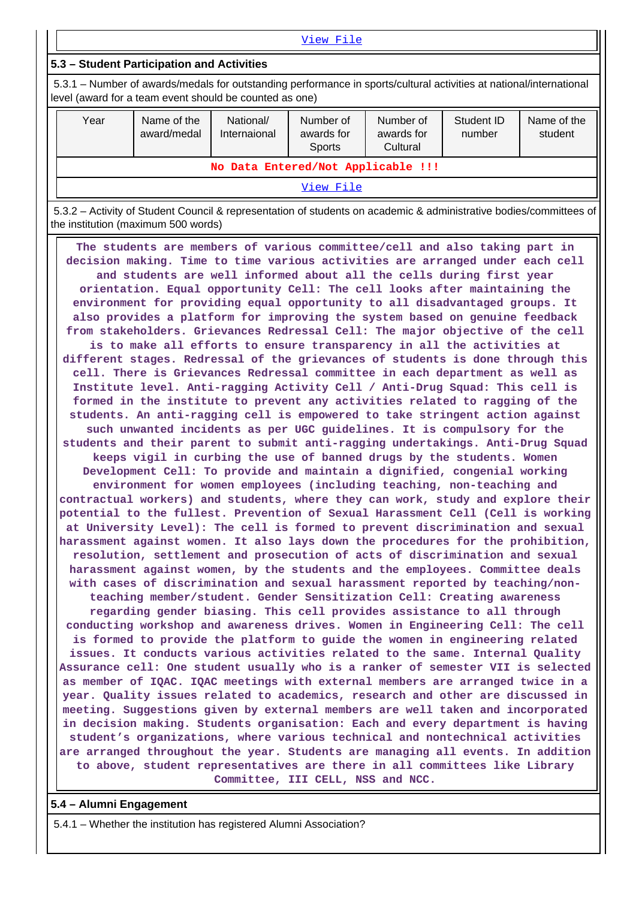|                                                                                                                                                                                |                            |                           | View File                                |                                     |                      |                        |
|--------------------------------------------------------------------------------------------------------------------------------------------------------------------------------|----------------------------|---------------------------|------------------------------------------|-------------------------------------|----------------------|------------------------|
| 5.3 - Student Participation and Activities                                                                                                                                     |                            |                           |                                          |                                     |                      |                        |
| 5.3.1 – Number of awards/medals for outstanding performance in sports/cultural activities at national/international<br>level (award for a team event should be counted as one) |                            |                           |                                          |                                     |                      |                        |
| Year                                                                                                                                                                           | Name of the<br>award/medal | National/<br>Internaional | Number of<br>awards for<br><b>Sports</b> | Number of<br>awards for<br>Cultural | Student ID<br>number | Name of the<br>student |
| No Data Entered/Not Applicable !!!                                                                                                                                             |                            |                           |                                          |                                     |                      |                        |
|                                                                                                                                                                                |                            |                           | View File                                |                                     |                      |                        |

 5.3.2 – Activity of Student Council & representation of students on academic & administrative bodies/committees of the institution (maximum 500 words)

 **The students are members of various committee/cell and also taking part in decision making. Time to time various activities are arranged under each cell and students are well informed about all the cells during first year orientation. Equal opportunity Cell: The cell looks after maintaining the environment for providing equal opportunity to all disadvantaged groups. It also provides a platform for improving the system based on genuine feedback from stakeholders. Grievances Redressal Cell: The major objective of the cell is to make all efforts to ensure transparency in all the activities at different stages. Redressal of the grievances of students is done through this cell. There is Grievances Redressal committee in each department as well as Institute level. Anti-ragging Activity Cell / Anti-Drug Squad: This cell is formed in the institute to prevent any activities related to ragging of the students. An anti-ragging cell is empowered to take stringent action against such unwanted incidents as per UGC guidelines. It is compulsory for the students and their parent to submit anti-ragging undertakings. Anti-Drug Squad keeps vigil in curbing the use of banned drugs by the students. Women Development Cell: To provide and maintain a dignified, congenial working environment for women employees (including teaching, non-teaching and contractual workers) and students, where they can work, study and explore their potential to the fullest. Prevention of Sexual Harassment Cell (Cell is working at University Level): The cell is formed to prevent discrimination and sexual harassment against women. It also lays down the procedures for the prohibition, resolution, settlement and prosecution of acts of discrimination and sexual harassment against women, by the students and the employees. Committee deals with cases of discrimination and sexual harassment reported by teaching/nonteaching member/student. Gender Sensitization Cell: Creating awareness regarding gender biasing. This cell provides assistance to all through conducting workshop and awareness drives. Women in Engineering Cell: The cell is formed to provide the platform to guide the women in engineering related issues. It conducts various activities related to the same. Internal Quality Assurance cell: One student usually who is a ranker of semester VII is selected as member of IQAC. IQAC meetings with external members are arranged twice in a year. Quality issues related to academics, research and other are discussed in meeting. Suggestions given by external members are well taken and incorporated in decision making. Students organisation: Each and every department is having student's organizations, where various technical and nontechnical activities are arranged throughout the year. Students are managing all events. In addition to above, student representatives are there in all committees like Library Committee, III CELL, NSS and NCC.**

**5.4 – Alumni Engagement**

5.4.1 – Whether the institution has registered Alumni Association?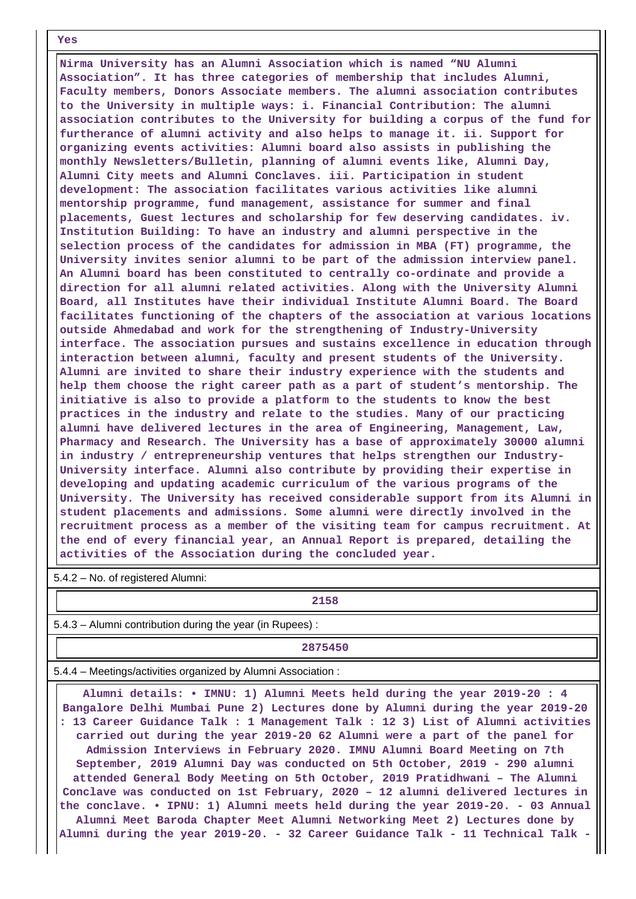#### **Yes**

 **Nirma University has an Alumni Association which is named "NU Alumni Association". It has three categories of membership that includes Alumni, Faculty members, Donors Associate members. The alumni association contributes to the University in multiple ways: i. Financial Contribution: The alumni association contributes to the University for building a corpus of the fund for furtherance of alumni activity and also helps to manage it. ii. Support for organizing events activities: Alumni board also assists in publishing the monthly Newsletters/Bulletin, planning of alumni events like, Alumni Day, Alumni City meets and Alumni Conclaves. iii. Participation in student development: The association facilitates various activities like alumni mentorship programme, fund management, assistance for summer and final placements, Guest lectures and scholarship for few deserving candidates. iv. Institution Building: To have an industry and alumni perspective in the selection process of the candidates for admission in MBA (FT) programme, the University invites senior alumni to be part of the admission interview panel. An Alumni board has been constituted to centrally co-ordinate and provide a direction for all alumni related activities. Along with the University Alumni Board, all Institutes have their individual Institute Alumni Board. The Board facilitates functioning of the chapters of the association at various locations outside Ahmedabad and work for the strengthening of Industry-University interface. The association pursues and sustains excellence in education through interaction between alumni, faculty and present students of the University. Alumni are invited to share their industry experience with the students and help them choose the right career path as a part of student's mentorship. The initiative is also to provide a platform to the students to know the best practices in the industry and relate to the studies. Many of our practicing alumni have delivered lectures in the area of Engineering, Management, Law, Pharmacy and Research. The University has a base of approximately 30000 alumni in industry / entrepreneurship ventures that helps strengthen our Industry-University interface. Alumni also contribute by providing their expertise in developing and updating academic curriculum of the various programs of the University. The University has received considerable support from its Alumni in student placements and admissions. Some alumni were directly involved in the recruitment process as a member of the visiting team for campus recruitment. At the end of every financial year, an Annual Report is prepared, detailing the activities of the Association during the concluded year.**

5.4.2 – No. of registered Alumni:

**2158**

5.4.3 – Alumni contribution during the year (in Rupees) :

**2875450**

5.4.4 – Meetings/activities organized by Alumni Association :

 **Alumni details: • IMNU: 1) Alumni Meets held during the year 2019-20 : 4 Bangalore Delhi Mumbai Pune 2) Lectures done by Alumni during the year 2019-20 : 13 Career Guidance Talk : 1 Management Talk : 12 3) List of Alumni activities carried out during the year 2019-20 62 Alumni were a part of the panel for Admission Interviews in February 2020. IMNU Alumni Board Meeting on 7th September, 2019 Alumni Day was conducted on 5th October, 2019 - 290 alumni attended General Body Meeting on 5th October, 2019 Pratidhwani – The Alumni Conclave was conducted on 1st February, 2020 – 12 alumni delivered lectures in the conclave. • IPNU: 1) Alumni meets held during the year 2019-20. - 03 Annual Alumni Meet Baroda Chapter Meet Alumni Networking Meet 2) Lectures done by Alumni during the year 2019-20. - 32 Career Guidance Talk - 11 Technical Talk -**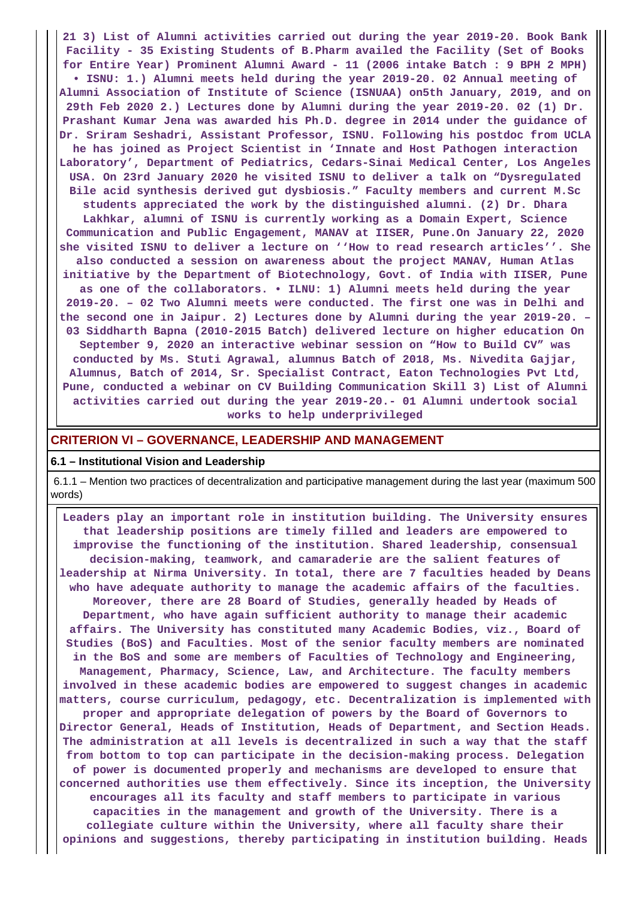**21 3) List of Alumni activities carried out during the year 2019-20. Book Bank Facility - 35 Existing Students of B.Pharm availed the Facility (Set of Books for Entire Year) Prominent Alumni Award - 11 (2006 intake Batch : 9 BPH 2 MPH) • ISNU: 1.) Alumni meets held during the year 2019-20. 02 Annual meeting of Alumni Association of Institute of Science (ISNUAA) on5th January, 2019, and on 29th Feb 2020 2.) Lectures done by Alumni during the year 2019-20. 02 (1) Dr. Prashant Kumar Jena was awarded his Ph.D. degree in 2014 under the guidance of Dr. Sriram Seshadri, Assistant Professor, ISNU. Following his postdoc from UCLA he has joined as Project Scientist in 'Innate and Host Pathogen interaction Laboratory', Department of Pediatrics, Cedars-Sinai Medical Center, Los Angeles USA. On 23rd January 2020 he visited ISNU to deliver a talk on "Dysregulated Bile acid synthesis derived gut dysbiosis." Faculty members and current M.Sc students appreciated the work by the distinguished alumni. (2) Dr. Dhara Lakhkar, alumni of ISNU is currently working as a Domain Expert, Science Communication and Public Engagement, MANAV at IISER, Pune.On January 22, 2020 she visited ISNU to deliver a lecture on ''How to read research articles''. She also conducted a session on awareness about the project MANAV, Human Atlas initiative by the Department of Biotechnology, Govt. of India with IISER, Pune as one of the collaborators. • ILNU: 1) Alumni meets held during the year 2019-20. – 02 Two Alumni meets were conducted. The first one was in Delhi and the second one in Jaipur. 2) Lectures done by Alumni during the year 2019-20. – 03 Siddharth Bapna (2010-2015 Batch) delivered lecture on higher education On September 9, 2020 an interactive webinar session on "How to Build CV" was conducted by Ms. Stuti Agrawal, alumnus Batch of 2018, Ms. Nivedita Gajjar, Alumnus, Batch of 2014, Sr. Specialist Contract, Eaton Technologies Pvt Ltd, Pune, conducted a webinar on CV Building Communication Skill 3) List of Alumni activities carried out during the year 2019-20.- 01 Alumni undertook social works to help underprivileged**

### **CRITERION VI – GOVERNANCE, LEADERSHIP AND MANAGEMENT**

#### **6.1 – Institutional Vision and Leadership**

 6.1.1 – Mention two practices of decentralization and participative management during the last year (maximum 500 words)

 **Leaders play an important role in institution building. The University ensures that leadership positions are timely filled and leaders are empowered to improvise the functioning of the institution. Shared leadership, consensual decision-making, teamwork, and camaraderie are the salient features of leadership at Nirma University. In total, there are 7 faculties headed by Deans who have adequate authority to manage the academic affairs of the faculties. Moreover, there are 28 Board of Studies, generally headed by Heads of Department, who have again sufficient authority to manage their academic affairs. The University has constituted many Academic Bodies, viz., Board of Studies (BoS) and Faculties. Most of the senior faculty members are nominated in the BoS and some are members of Faculties of Technology and Engineering, Management, Pharmacy, Science, Law, and Architecture. The faculty members involved in these academic bodies are empowered to suggest changes in academic matters, course curriculum, pedagogy, etc. Decentralization is implemented with proper and appropriate delegation of powers by the Board of Governors to Director General, Heads of Institution, Heads of Department, and Section Heads. The administration at all levels is decentralized in such a way that the staff from bottom to top can participate in the decision-making process. Delegation of power is documented properly and mechanisms are developed to ensure that concerned authorities use them effectively. Since its inception, the University encourages all its faculty and staff members to participate in various capacities in the management and growth of the University. There is a collegiate culture within the University, where all faculty share their opinions and suggestions, thereby participating in institution building. Heads**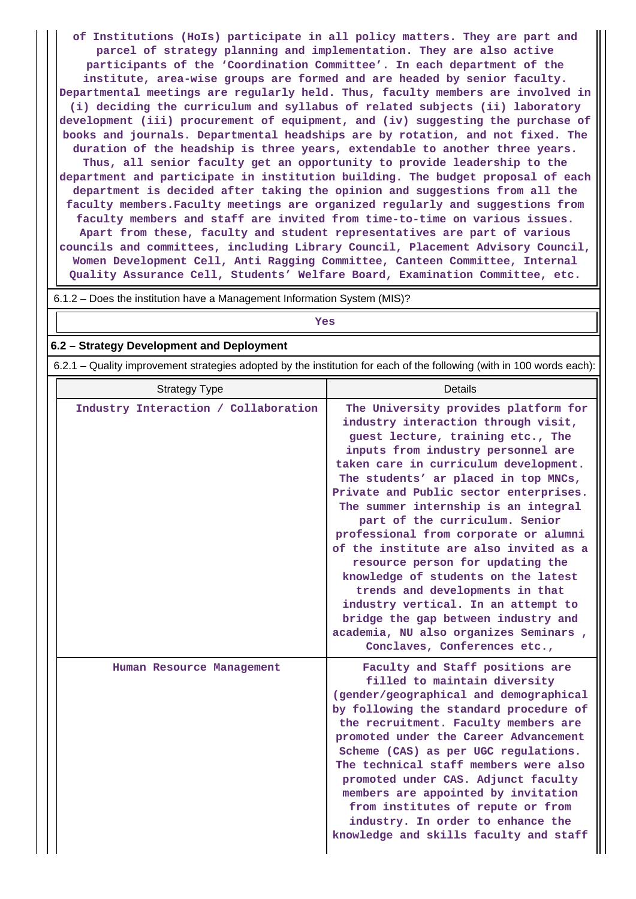**of Institutions (HoIs) participate in all policy matters. They are part and parcel of strategy planning and implementation. They are also active participants of the 'Coordination Committee'. In each department of the institute, area-wise groups are formed and are headed by senior faculty. Departmental meetings are regularly held. Thus, faculty members are involved in (i) deciding the curriculum and syllabus of related subjects (ii) laboratory development (iii) procurement of equipment, and (iv) suggesting the purchase of books and journals. Departmental headships are by rotation, and not fixed. The duration of the headship is three years, extendable to another three years. Thus, all senior faculty get an opportunity to provide leadership to the department and participate in institution building. The budget proposal of each department is decided after taking the opinion and suggestions from all the faculty members.Faculty meetings are organized regularly and suggestions from faculty members and staff are invited from time-to-time on various issues. Apart from these, faculty and student representatives are part of various councils and committees, including Library Council, Placement Advisory Council, Women Development Cell, Anti Ragging Committee, Canteen Committee, Internal Quality Assurance Cell, Students' Welfare Board, Examination Committee, etc.**

6.1.2 – Does the institution have a Management Information System (MIS)?

## *Yes*

#### **6.2 – Strategy Development and Deployment**

6.2.1 – Quality improvement strategies adopted by the institution for each of the following (with in 100 words each):

| <b>Strategy Type</b>                 | Details                                                                                                                                                                                                                                                                                                                                                                                                                                                                                                                                                                                                                                                                                                             |
|--------------------------------------|---------------------------------------------------------------------------------------------------------------------------------------------------------------------------------------------------------------------------------------------------------------------------------------------------------------------------------------------------------------------------------------------------------------------------------------------------------------------------------------------------------------------------------------------------------------------------------------------------------------------------------------------------------------------------------------------------------------------|
| Industry Interaction / Collaboration | The University provides platform for<br>industry interaction through visit,<br>guest lecture, training etc., The<br>inputs from industry personnel are<br>taken care in curriculum development.<br>The students' ar placed in top MNCs,<br>Private and Public sector enterprises.<br>The summer internship is an integral<br>part of the curriculum. Senior<br>professional from corporate or alumni<br>of the institute are also invited as a<br>resource person for updating the<br>knowledge of students on the latest<br>trends and developments in that<br>industry vertical. In an attempt to<br>bridge the gap between industry and<br>academia, NU also organizes Seminars,<br>Conclaves, Conferences etc., |
| Human Resource Management            | Faculty and Staff positions are<br>filled to maintain diversity<br>(gender/geographical and demographical<br>by following the standard procedure of<br>the recruitment. Faculty members are<br>promoted under the Career Advancement<br>Scheme (CAS) as per UGC regulations.<br>The technical staff members were also<br>promoted under CAS. Adjunct faculty<br>members are appointed by invitation<br>from institutes of repute or from<br>industry. In order to enhance the<br>knowledge and skills faculty and staff                                                                                                                                                                                             |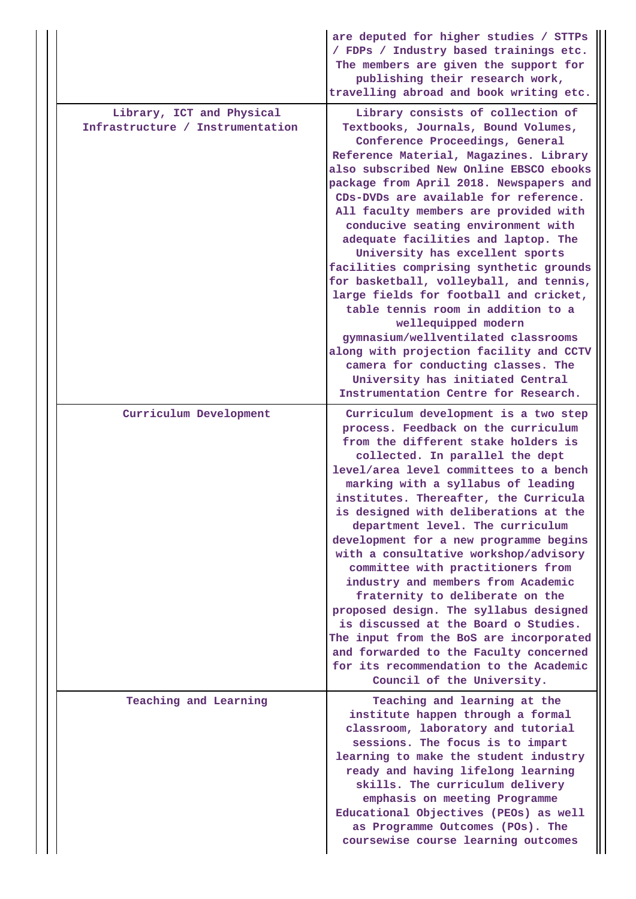|                                                               | are deputed for higher studies / STTPs<br>/ FDPs / Industry based trainings etc.<br>The members are given the support for<br>publishing their research work,<br>travelling abroad and book writing etc.                                                                                                                                                                                                                                                                                                                                                                                                                                                                                                                                                                                                                                        |
|---------------------------------------------------------------|------------------------------------------------------------------------------------------------------------------------------------------------------------------------------------------------------------------------------------------------------------------------------------------------------------------------------------------------------------------------------------------------------------------------------------------------------------------------------------------------------------------------------------------------------------------------------------------------------------------------------------------------------------------------------------------------------------------------------------------------------------------------------------------------------------------------------------------------|
| Library, ICT and Physical<br>Infrastructure / Instrumentation | Library consists of collection of<br>Textbooks, Journals, Bound Volumes,<br>Conference Proceedings, General<br>Reference Material, Magazines. Library<br>also subscribed New Online EBSCO ebooks<br>package from April 2018. Newspapers and<br>CDs-DVDs are available for reference.<br>All faculty members are provided with<br>conducive seating environment with<br>adequate facilities and laptop. The<br>University has excellent sports<br>facilities comprising synthetic grounds<br>for basketball, volleyball, and tennis,<br>large fields for football and cricket,<br>table tennis room in addition to a<br>wellequipped modern<br>gymnasium/wellventilated classrooms<br>along with projection facility and CCTV<br>camera for conducting classes. The<br>University has initiated Central<br>Instrumentation Centre for Research. |
| Curriculum Development                                        | Curriculum development is a two step<br>process. Feedback on the curriculum<br>from the different stake holders is<br>collected. In parallel the dept<br>level/area level committees to a bench<br>marking with a syllabus of leading<br>institutes. Thereafter, the Curricula<br>is designed with deliberations at the<br>department level. The curriculum<br>development for a new programme begins<br>with a consultative workshop/advisory<br>committee with practitioners from<br>industry and members from Academic<br>fraternity to deliberate on the<br>proposed design. The syllabus designed<br>is discussed at the Board o Studies.<br>The input from the BoS are incorporated<br>and forwarded to the Faculty concerned<br>for its recommendation to the Academic<br>Council of the University.                                    |
| Teaching and Learning                                         | Teaching and learning at the<br>institute happen through a formal<br>classroom, laboratory and tutorial<br>sessions. The focus is to impart<br>learning to make the student industry<br>ready and having lifelong learning<br>skills. The curriculum delivery<br>emphasis on meeting Programme<br>Educational Objectives (PEOs) as well<br>as Programme Outcomes (POs). The<br>coursewise course learning outcomes                                                                                                                                                                                                                                                                                                                                                                                                                             |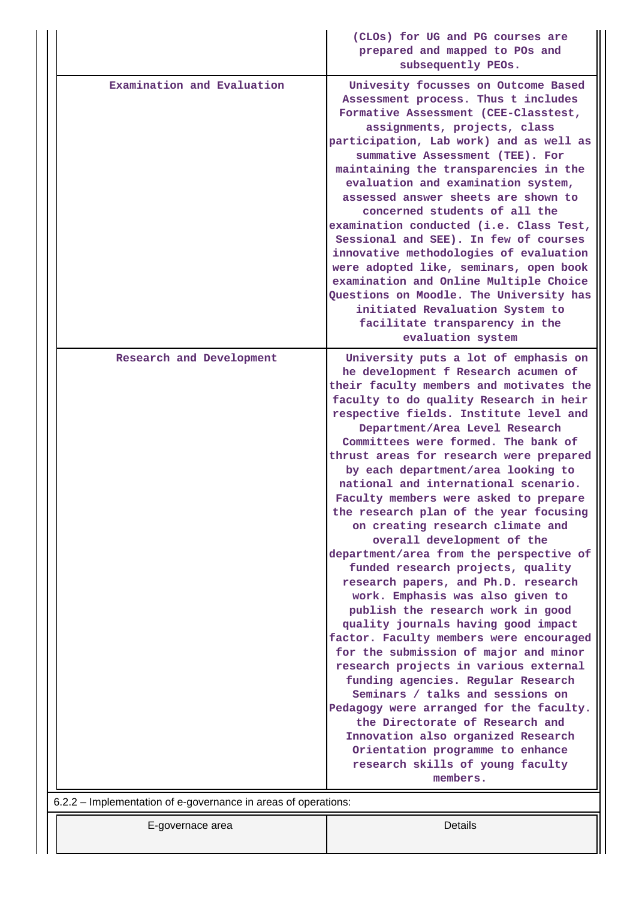|                                                                | (CLOs) for UG and PG courses are<br>prepared and mapped to POs and<br>subsequently PEOs.                                                                                                                                                                                                                                                                                                                                                                                                                                                                                                                                                                                                                                                                                                                                                                                                                                                                                                                                                                                                                                                                                        |
|----------------------------------------------------------------|---------------------------------------------------------------------------------------------------------------------------------------------------------------------------------------------------------------------------------------------------------------------------------------------------------------------------------------------------------------------------------------------------------------------------------------------------------------------------------------------------------------------------------------------------------------------------------------------------------------------------------------------------------------------------------------------------------------------------------------------------------------------------------------------------------------------------------------------------------------------------------------------------------------------------------------------------------------------------------------------------------------------------------------------------------------------------------------------------------------------------------------------------------------------------------|
| Examination and Evaluation                                     | Univesity focusses on Outcome Based<br>Assessment process. Thus t includes<br>Formative Assessment (CEE-Classtest,<br>assignments, projects, class<br>participation, Lab work) and as well as<br>summative Assessment (TEE). For<br>maintaining the transparencies in the<br>evaluation and examination system,<br>assessed answer sheets are shown to<br>concerned students of all the<br>examination conducted (i.e. Class Test,<br>Sessional and SEE). In few of courses<br>innovative methodologies of evaluation<br>were adopted like, seminars, open book<br>examination and Online Multiple Choice<br>Questions on Moodle. The University has<br>initiated Revaluation System to<br>facilitate transparency in the<br>evaluation system                                                                                                                                                                                                                                                                                                                                                                                                                                  |
| Research and Development                                       | University puts a lot of emphasis on                                                                                                                                                                                                                                                                                                                                                                                                                                                                                                                                                                                                                                                                                                                                                                                                                                                                                                                                                                                                                                                                                                                                            |
|                                                                | he development f Research acumen of<br>their faculty members and motivates the<br>faculty to do quality Research in heir<br>respective fields. Institute level and<br>Department/Area Level Research<br>Committees were formed. The bank of<br>thrust areas for research were prepared<br>by each department/area looking to<br>national and international scenario.<br>Faculty members were asked to prepare<br>the research plan of the year focusing<br>on creating research climate and<br>overall development of the<br>department/area from the perspective of<br>funded research projects, quality<br>research papers, and Ph.D. research<br>work. Emphasis was also given to<br>publish the research work in good<br>quality journals having good impact<br>factor. Faculty members were encouraged<br>for the submission of major and minor<br>research projects in various external<br>funding agencies. Regular Research<br>Seminars / talks and sessions on<br>Pedagogy were arranged for the faculty.<br>the Directorate of Research and<br>Innovation also organized Research<br>Orientation programme to enhance<br>research skills of young faculty<br>members. |
| 6.2.2 – Implementation of e-governance in areas of operations: |                                                                                                                                                                                                                                                                                                                                                                                                                                                                                                                                                                                                                                                                                                                                                                                                                                                                                                                                                                                                                                                                                                                                                                                 |
| E-governace area                                               | Details                                                                                                                                                                                                                                                                                                                                                                                                                                                                                                                                                                                                                                                                                                                                                                                                                                                                                                                                                                                                                                                                                                                                                                         |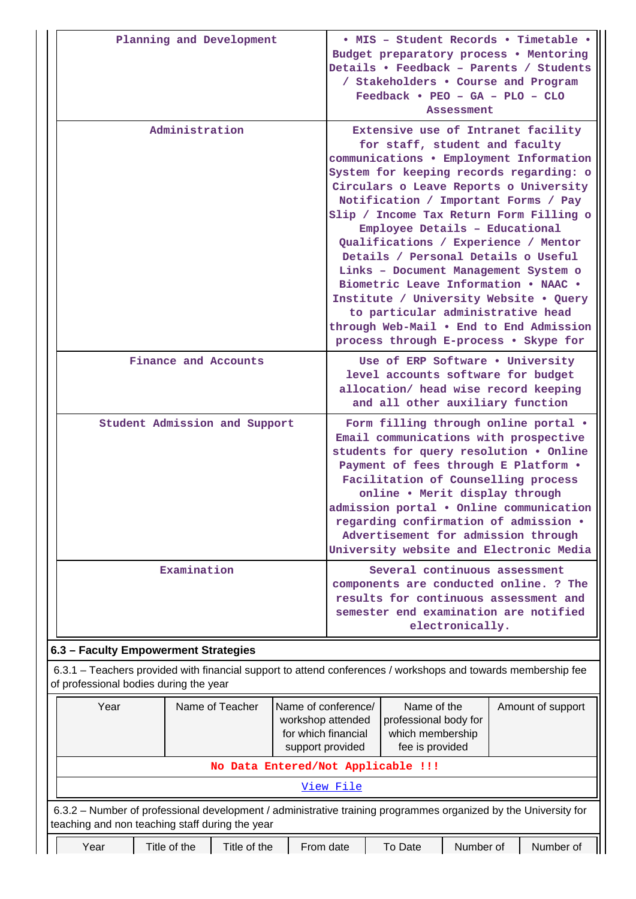|                                                                                                                                                                    |  |              | Planning and Development                                                                                                                                                                                                                                                                                                                                                                                                                                                                                                                                                                                                                                    |                                                                                                                                                                                                                                                                                                                                                                                                                |                                                                                                                                                                              |           |  | / Stakeholders . Course and Program<br>$Feedback •$ PEO - GA - PLO - CLO | <b>Assessment</b> |  | · MIS - Student Records · Timetable ·<br>Budget preparatory process . Mentoring<br>Details • Feedback - Parents / Students |
|--------------------------------------------------------------------------------------------------------------------------------------------------------------------|--|--------------|-------------------------------------------------------------------------------------------------------------------------------------------------------------------------------------------------------------------------------------------------------------------------------------------------------------------------------------------------------------------------------------------------------------------------------------------------------------------------------------------------------------------------------------------------------------------------------------------------------------------------------------------------------------|----------------------------------------------------------------------------------------------------------------------------------------------------------------------------------------------------------------------------------------------------------------------------------------------------------------------------------------------------------------------------------------------------------------|------------------------------------------------------------------------------------------------------------------------------------------------------------------------------|-----------|--|--------------------------------------------------------------------------|-------------------|--|----------------------------------------------------------------------------------------------------------------------------|
| Administration                                                                                                                                                     |  |              | Extensive use of Intranet facility<br>for staff, student and faculty<br>communications . Employment Information<br>System for keeping records regarding: o<br>Circulars o Leave Reports o University<br>Notification / Important Forms / Pay<br>Slip / Income Tax Return Form Filling o<br>Employee Details - Educational<br>Qualifications / Experience / Mentor<br>Details / Personal Details o Useful<br>Links - Document Management System o<br>Biometric Leave Information . NAAC .<br>Institute / University Website . Query<br>to particular administrative head<br>through Web-Mail . End to End Admission<br>process through E-process . Skype for |                                                                                                                                                                                                                                                                                                                                                                                                                |                                                                                                                                                                              |           |  |                                                                          |                   |  |                                                                                                                            |
| Finance and Accounts                                                                                                                                               |  |              |                                                                                                                                                                                                                                                                                                                                                                                                                                                                                                                                                                                                                                                             | Use of ERP Software . University<br>level accounts software for budget<br>allocation/ head wise record keeping<br>and all other auxiliary function                                                                                                                                                                                                                                                             |                                                                                                                                                                              |           |  |                                                                          |                   |  |                                                                                                                            |
| Student Admission and Support                                                                                                                                      |  |              |                                                                                                                                                                                                                                                                                                                                                                                                                                                                                                                                                                                                                                                             | Form filling through online portal .<br>Email communications with prospective<br>students for query resolution . Online<br>Payment of fees through E Platform .<br>Facilitation of Counselling process<br>online . Merit display through<br>admission portal . Online communication<br>regarding confirmation of admission .<br>Advertisement for admission through<br>University website and Electronic Media |                                                                                                                                                                              |           |  |                                                                          |                   |  |                                                                                                                            |
| Examination                                                                                                                                                        |  |              |                                                                                                                                                                                                                                                                                                                                                                                                                                                                                                                                                                                                                                                             |                                                                                                                                                                                                                                                                                                                                                                                                                | Several continuous assessment<br>components are conducted online. ? The<br>results for continuous assessment and<br>semester end examination are notified<br>electronically. |           |  |                                                                          |                   |  |                                                                                                                            |
| 6.3 - Faculty Empowerment Strategies                                                                                                                               |  |              |                                                                                                                                                                                                                                                                                                                                                                                                                                                                                                                                                                                                                                                             |                                                                                                                                                                                                                                                                                                                                                                                                                |                                                                                                                                                                              |           |  |                                                                          |                   |  |                                                                                                                            |
| 6.3.1 – Teachers provided with financial support to attend conferences / workshops and towards membership fee<br>of professional bodies during the year            |  |              |                                                                                                                                                                                                                                                                                                                                                                                                                                                                                                                                                                                                                                                             |                                                                                                                                                                                                                                                                                                                                                                                                                |                                                                                                                                                                              |           |  |                                                                          |                   |  |                                                                                                                            |
| Year<br>Name of Teacher                                                                                                                                            |  |              | Name of conference/<br>Name of the<br>Amount of support<br>workshop attended<br>professional body for<br>for which financial<br>which membership<br>fee is provided<br>support provided                                                                                                                                                                                                                                                                                                                                                                                                                                                                     |                                                                                                                                                                                                                                                                                                                                                                                                                |                                                                                                                                                                              |           |  |                                                                          |                   |  |                                                                                                                            |
| No Data Entered/Not Applicable !!!                                                                                                                                 |  |              |                                                                                                                                                                                                                                                                                                                                                                                                                                                                                                                                                                                                                                                             |                                                                                                                                                                                                                                                                                                                                                                                                                |                                                                                                                                                                              |           |  |                                                                          |                   |  |                                                                                                                            |
|                                                                                                                                                                    |  |              |                                                                                                                                                                                                                                                                                                                                                                                                                                                                                                                                                                                                                                                             |                                                                                                                                                                                                                                                                                                                                                                                                                |                                                                                                                                                                              | View File |  |                                                                          |                   |  |                                                                                                                            |
| 6.3.2 - Number of professional development / administrative training programmes organized by the University for<br>teaching and non teaching staff during the year |  |              |                                                                                                                                                                                                                                                                                                                                                                                                                                                                                                                                                                                                                                                             |                                                                                                                                                                                                                                                                                                                                                                                                                |                                                                                                                                                                              |           |  |                                                                          |                   |  |                                                                                                                            |
| Year                                                                                                                                                               |  | Title of the | Title of the                                                                                                                                                                                                                                                                                                                                                                                                                                                                                                                                                                                                                                                |                                                                                                                                                                                                                                                                                                                                                                                                                | From date                                                                                                                                                                    |           |  | To Date                                                                  | Number of         |  | Number of                                                                                                                  |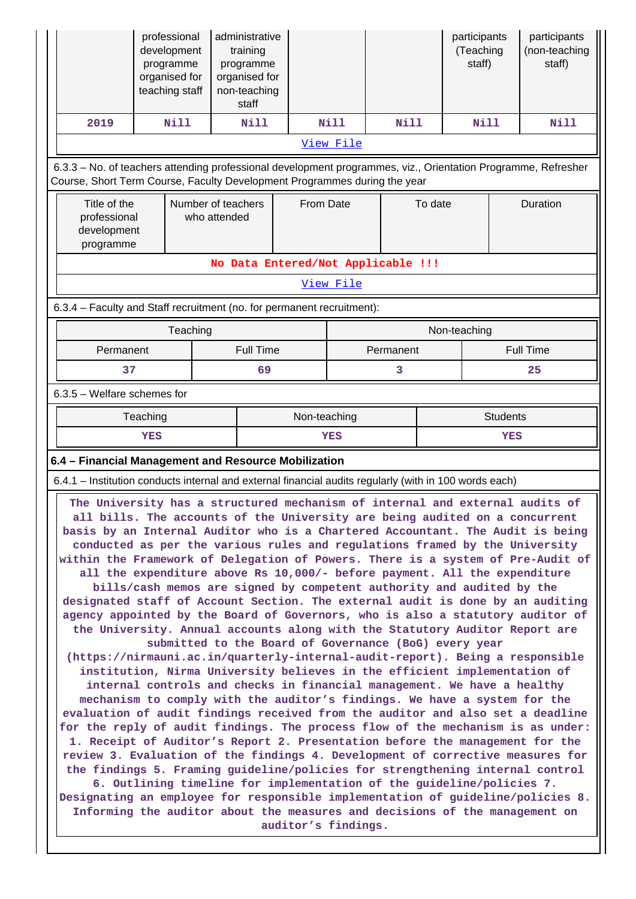|                                                                                                                                                                                                                                                                                                                                                                                                                                                                                                                                                                                                                                                                                                                                                                                                                                                                                                                                                                                                                                                                                                                                                                                                                                                                                                                                                                                                                                                                                                                                                                                                                                                                                                                                                                                                                                                                                                                                                                                                             | professional<br>development<br>programme<br>organised for<br>teaching staff |                                    | administrative<br>training<br>programme<br>organised for<br>non-teaching<br>staff |           |             |                                    |  | participants<br>(Teaching<br>staff) |          | participants<br>(non-teaching<br>staff) |
|-------------------------------------------------------------------------------------------------------------------------------------------------------------------------------------------------------------------------------------------------------------------------------------------------------------------------------------------------------------------------------------------------------------------------------------------------------------------------------------------------------------------------------------------------------------------------------------------------------------------------------------------------------------------------------------------------------------------------------------------------------------------------------------------------------------------------------------------------------------------------------------------------------------------------------------------------------------------------------------------------------------------------------------------------------------------------------------------------------------------------------------------------------------------------------------------------------------------------------------------------------------------------------------------------------------------------------------------------------------------------------------------------------------------------------------------------------------------------------------------------------------------------------------------------------------------------------------------------------------------------------------------------------------------------------------------------------------------------------------------------------------------------------------------------------------------------------------------------------------------------------------------------------------------------------------------------------------------------------------------------------------|-----------------------------------------------------------------------------|------------------------------------|-----------------------------------------------------------------------------------|-----------|-------------|------------------------------------|--|-------------------------------------|----------|-----------------------------------------|
| 2019                                                                                                                                                                                                                                                                                                                                                                                                                                                                                                                                                                                                                                                                                                                                                                                                                                                                                                                                                                                                                                                                                                                                                                                                                                                                                                                                                                                                                                                                                                                                                                                                                                                                                                                                                                                                                                                                                                                                                                                                        | Nill                                                                        |                                    | <b>Nill</b>                                                                       |           | <b>Nill</b> | <b>Nill</b>                        |  | <b>Nill</b>                         |          | <b>Nill</b>                             |
|                                                                                                                                                                                                                                                                                                                                                                                                                                                                                                                                                                                                                                                                                                                                                                                                                                                                                                                                                                                                                                                                                                                                                                                                                                                                                                                                                                                                                                                                                                                                                                                                                                                                                                                                                                                                                                                                                                                                                                                                             |                                                                             |                                    |                                                                                   |           | View File   |                                    |  |                                     |          |                                         |
| 6.3.3 - No. of teachers attending professional development programmes, viz., Orientation Programme, Refresher<br>Course, Short Term Course, Faculty Development Programmes during the year                                                                                                                                                                                                                                                                                                                                                                                                                                                                                                                                                                                                                                                                                                                                                                                                                                                                                                                                                                                                                                                                                                                                                                                                                                                                                                                                                                                                                                                                                                                                                                                                                                                                                                                                                                                                                  |                                                                             |                                    |                                                                                   |           |             |                                    |  |                                     |          |                                         |
| Title of the<br>professional<br>development<br>programme                                                                                                                                                                                                                                                                                                                                                                                                                                                                                                                                                                                                                                                                                                                                                                                                                                                                                                                                                                                                                                                                                                                                                                                                                                                                                                                                                                                                                                                                                                                                                                                                                                                                                                                                                                                                                                                                                                                                                    |                                                                             | Number of teachers<br>who attended |                                                                                   | From Date |             | To date                            |  |                                     | Duration |                                         |
|                                                                                                                                                                                                                                                                                                                                                                                                                                                                                                                                                                                                                                                                                                                                                                                                                                                                                                                                                                                                                                                                                                                                                                                                                                                                                                                                                                                                                                                                                                                                                                                                                                                                                                                                                                                                                                                                                                                                                                                                             |                                                                             |                                    |                                                                                   |           |             | No Data Entered/Not Applicable !!! |  |                                     |          |                                         |
|                                                                                                                                                                                                                                                                                                                                                                                                                                                                                                                                                                                                                                                                                                                                                                                                                                                                                                                                                                                                                                                                                                                                                                                                                                                                                                                                                                                                                                                                                                                                                                                                                                                                                                                                                                                                                                                                                                                                                                                                             |                                                                             |                                    |                                                                                   |           | View File   |                                    |  |                                     |          |                                         |
| 6.3.4 - Faculty and Staff recruitment (no. for permanent recruitment):                                                                                                                                                                                                                                                                                                                                                                                                                                                                                                                                                                                                                                                                                                                                                                                                                                                                                                                                                                                                                                                                                                                                                                                                                                                                                                                                                                                                                                                                                                                                                                                                                                                                                                                                                                                                                                                                                                                                      |                                                                             |                                    |                                                                                   |           |             |                                    |  |                                     |          |                                         |
|                                                                                                                                                                                                                                                                                                                                                                                                                                                                                                                                                                                                                                                                                                                                                                                                                                                                                                                                                                                                                                                                                                                                                                                                                                                                                                                                                                                                                                                                                                                                                                                                                                                                                                                                                                                                                                                                                                                                                                                                             | Teaching                                                                    |                                    |                                                                                   |           |             |                                    |  | Non-teaching                        |          |                                         |
| Permanent                                                                                                                                                                                                                                                                                                                                                                                                                                                                                                                                                                                                                                                                                                                                                                                                                                                                                                                                                                                                                                                                                                                                                                                                                                                                                                                                                                                                                                                                                                                                                                                                                                                                                                                                                                                                                                                                                                                                                                                                   |                                                                             |                                    | <b>Full Time</b>                                                                  |           |             | Permanent                          |  | <b>Full Time</b>                    |          |                                         |
| 37                                                                                                                                                                                                                                                                                                                                                                                                                                                                                                                                                                                                                                                                                                                                                                                                                                                                                                                                                                                                                                                                                                                                                                                                                                                                                                                                                                                                                                                                                                                                                                                                                                                                                                                                                                                                                                                                                                                                                                                                          |                                                                             |                                    | 69                                                                                |           |             | 3                                  |  |                                     |          | 25                                      |
| 6.3.5 - Welfare schemes for                                                                                                                                                                                                                                                                                                                                                                                                                                                                                                                                                                                                                                                                                                                                                                                                                                                                                                                                                                                                                                                                                                                                                                                                                                                                                                                                                                                                                                                                                                                                                                                                                                                                                                                                                                                                                                                                                                                                                                                 |                                                                             |                                    |                                                                                   |           |             |                                    |  |                                     |          |                                         |
| Teaching<br><b>YES</b>                                                                                                                                                                                                                                                                                                                                                                                                                                                                                                                                                                                                                                                                                                                                                                                                                                                                                                                                                                                                                                                                                                                                                                                                                                                                                                                                                                                                                                                                                                                                                                                                                                                                                                                                                                                                                                                                                                                                                                                      |                                                                             |                                    | Non-teaching<br>YES                                                               |           |             | <b>Students</b><br>YES             |  |                                     |          |                                         |
| 6.4 - Financial Management and Resource Mobilization                                                                                                                                                                                                                                                                                                                                                                                                                                                                                                                                                                                                                                                                                                                                                                                                                                                                                                                                                                                                                                                                                                                                                                                                                                                                                                                                                                                                                                                                                                                                                                                                                                                                                                                                                                                                                                                                                                                                                        |                                                                             |                                    |                                                                                   |           |             |                                    |  |                                     |          |                                         |
|                                                                                                                                                                                                                                                                                                                                                                                                                                                                                                                                                                                                                                                                                                                                                                                                                                                                                                                                                                                                                                                                                                                                                                                                                                                                                                                                                                                                                                                                                                                                                                                                                                                                                                                                                                                                                                                                                                                                                                                                             |                                                                             |                                    |                                                                                   |           |             |                                    |  |                                     |          |                                         |
| 6.4.1 - Institution conducts internal and external financial audits regularly (with in 100 words each)<br>The University has a structured mechanism of internal and external audits of<br>all bills. The accounts of the University are being audited on a concurrent<br>basis by an Internal Auditor who is a Chartered Accountant. The Audit is being<br>conducted as per the various rules and regulations framed by the University<br>within the Framework of Delegation of Powers. There is a system of Pre-Audit of<br>all the expenditure above Rs 10,000/- before payment. All the expenditure<br>bills/cash memos are signed by competent authority and audited by the<br>designated staff of Account Section. The external audit is done by an auditing<br>agency appointed by the Board of Governors, who is also a statutory auditor of<br>the University. Annual accounts along with the Statutory Auditor Report are<br>submitted to the Board of Governance (BoG) every year<br>(https://nirmauni.ac.in/quarterly-internal-audit-report). Being a responsible<br>institution, Nirma University believes in the efficient implementation of<br>internal controls and checks in financial management. We have a healthy<br>mechanism to comply with the auditor's findings. We have a system for the<br>evaluation of audit findings received from the auditor and also set a deadline<br>for the reply of audit findings. The process flow of the mechanism is as under:<br>1. Receipt of Auditor's Report 2. Presentation before the management for the<br>review 3. Evaluation of the findings 4. Development of corrective measures for<br>the findings 5. Framing guideline/policies for strengthening internal control<br>6. Outlining timeline for implementation of the guideline/policies 7.<br>Designating an employee for responsible implementation of guideline/policies 8.<br>Informing the auditor about the measures and decisions of the management on<br>auditor's findings. |                                                                             |                                    |                                                                                   |           |             |                                    |  |                                     |          |                                         |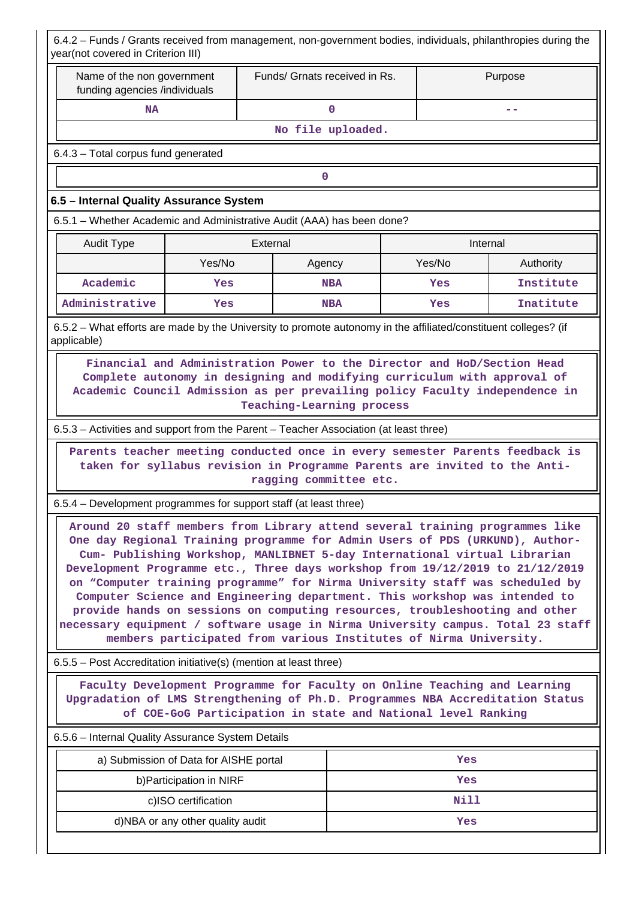| 6.4.2 - Funds / Grants received from management, non-government bodies, individuals, philanthropies during the<br>year(not covered in Criterion III)                                                                                                                                                                                                                                                                                                                                                                                                                                                                                                                                                                            |                                                   |                                                     |                   |                                                                           |           |  |  |
|---------------------------------------------------------------------------------------------------------------------------------------------------------------------------------------------------------------------------------------------------------------------------------------------------------------------------------------------------------------------------------------------------------------------------------------------------------------------------------------------------------------------------------------------------------------------------------------------------------------------------------------------------------------------------------------------------------------------------------|---------------------------------------------------|-----------------------------------------------------|-------------------|---------------------------------------------------------------------------|-----------|--|--|
| Name of the non government<br>funding agencies /individuals                                                                                                                                                                                                                                                                                                                                                                                                                                                                                                                                                                                                                                                                     |                                                   | Funds/ Grnats received in Rs.                       |                   |                                                                           | Purpose   |  |  |
| <b>NA</b>                                                                                                                                                                                                                                                                                                                                                                                                                                                                                                                                                                                                                                                                                                                       |                                                   |                                                     | $\mathbf 0$       |                                                                           | --        |  |  |
|                                                                                                                                                                                                                                                                                                                                                                                                                                                                                                                                                                                                                                                                                                                                 |                                                   |                                                     | No file uploaded. |                                                                           |           |  |  |
| 6.4.3 - Total corpus fund generated                                                                                                                                                                                                                                                                                                                                                                                                                                                                                                                                                                                                                                                                                             |                                                   |                                                     |                   |                                                                           |           |  |  |
|                                                                                                                                                                                                                                                                                                                                                                                                                                                                                                                                                                                                                                                                                                                                 |                                                   | 0                                                   |                   |                                                                           |           |  |  |
| 6.5 - Internal Quality Assurance System                                                                                                                                                                                                                                                                                                                                                                                                                                                                                                                                                                                                                                                                                         |                                                   |                                                     |                   |                                                                           |           |  |  |
| 6.5.1 - Whether Academic and Administrative Audit (AAA) has been done?                                                                                                                                                                                                                                                                                                                                                                                                                                                                                                                                                                                                                                                          |                                                   |                                                     |                   |                                                                           |           |  |  |
| <b>Audit Type</b>                                                                                                                                                                                                                                                                                                                                                                                                                                                                                                                                                                                                                                                                                                               |                                                   | External                                            |                   |                                                                           | Internal  |  |  |
|                                                                                                                                                                                                                                                                                                                                                                                                                                                                                                                                                                                                                                                                                                                                 | Yes/No                                            | Agency                                              |                   | Yes/No                                                                    | Authority |  |  |
| Academic                                                                                                                                                                                                                                                                                                                                                                                                                                                                                                                                                                                                                                                                                                                        | Yes                                               |                                                     | <b>NBA</b>        | Yes                                                                       | Institute |  |  |
| Administrative                                                                                                                                                                                                                                                                                                                                                                                                                                                                                                                                                                                                                                                                                                                  | Yes                                               |                                                     | <b>NBA</b>        | Yes                                                                       | Inatitute |  |  |
| 6.5.2 – What efforts are made by the University to promote autonomy in the affiliated/constituent colleges? (if<br>applicable)                                                                                                                                                                                                                                                                                                                                                                                                                                                                                                                                                                                                  |                                                   |                                                     |                   |                                                                           |           |  |  |
| Academic Council Admission as per prevailing policy Faculty independence in<br>6.5.3 – Activities and support from the Parent – Teacher Association (at least three)<br>Parents teacher meeting conducted once in every semester Parents feedback is                                                                                                                                                                                                                                                                                                                                                                                                                                                                            |                                                   | Teaching-Learning process<br>ragging committee etc. |                   | taken for syllabus revision in Programme Parents are invited to the Anti- |           |  |  |
| 6.5.4 - Development programmes for support staff (at least three)                                                                                                                                                                                                                                                                                                                                                                                                                                                                                                                                                                                                                                                               |                                                   |                                                     |                   |                                                                           |           |  |  |
| Around 20 staff members from Library attend several training programmes like<br>One day Regional Training programme for Admin Users of PDS (URKUND), Author-<br>Cum- Publishing Workshop, MANLIBNET 5-day International virtual Librarian<br>Development Programme etc., Three days workshop from 19/12/2019 to 21/12/2019<br>on "Computer training programme" for Nirma University staff was scheduled by<br>Computer Science and Engineering department. This workshop was intended to<br>provide hands on sessions on computing resources, troubleshooting and other<br>necessary equipment / software usage in Nirma University campus. Total 23 staff<br>members participated from various Institutes of Nirma University. |                                                   |                                                     |                   |                                                                           |           |  |  |
| 6.5.5 – Post Accreditation initiative(s) (mention at least three)                                                                                                                                                                                                                                                                                                                                                                                                                                                                                                                                                                                                                                                               |                                                   |                                                     |                   |                                                                           |           |  |  |
| Faculty Development Programme for Faculty on Online Teaching and Learning<br>Upgradation of LMS Strengthening of Ph.D. Programmes NBA Accreditation Status<br>of COE-GoG Participation in state and National level Ranking                                                                                                                                                                                                                                                                                                                                                                                                                                                                                                      |                                                   |                                                     |                   |                                                                           |           |  |  |
|                                                                                                                                                                                                                                                                                                                                                                                                                                                                                                                                                                                                                                                                                                                                 | 6.5.6 - Internal Quality Assurance System Details |                                                     |                   |                                                                           |           |  |  |
| a) Submission of Data for AISHE portal<br>Yes                                                                                                                                                                                                                                                                                                                                                                                                                                                                                                                                                                                                                                                                                   |                                                   |                                                     |                   |                                                                           |           |  |  |
|                                                                                                                                                                                                                                                                                                                                                                                                                                                                                                                                                                                                                                                                                                                                 | b) Participation in NIRF<br>Yes                   |                                                     |                   |                                                                           |           |  |  |
|                                                                                                                                                                                                                                                                                                                                                                                                                                                                                                                                                                                                                                                                                                                                 | c)ISO certification                               |                                                     |                   | Nill                                                                      |           |  |  |
| d)NBA or any other quality audit<br>Yes                                                                                                                                                                                                                                                                                                                                                                                                                                                                                                                                                                                                                                                                                         |                                                   |                                                     |                   |                                                                           |           |  |  |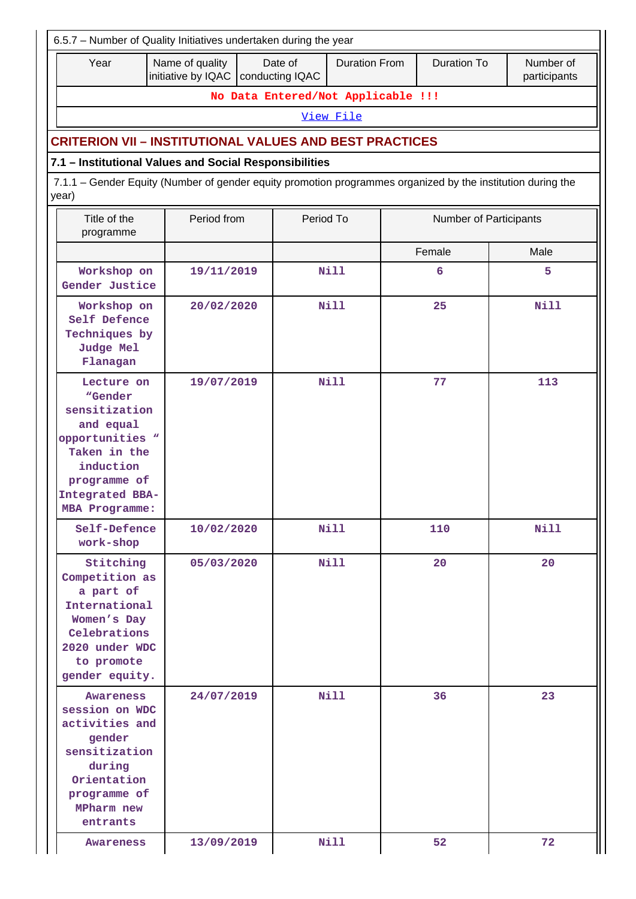| 6.5.7 - Number of Quality Initiatives undertaken during the year                                                                                         |             |                                    |        |                        |             |  |  |  |  |
|----------------------------------------------------------------------------------------------------------------------------------------------------------|-------------|------------------------------------|--------|------------------------|-------------|--|--|--|--|
| <b>Duration From</b><br><b>Duration To</b><br>Year<br>Name of quality<br>Date of<br>Number of<br>initiative by IQAC   conducting IQAC<br>participants    |             |                                    |        |                        |             |  |  |  |  |
|                                                                                                                                                          |             | No Data Entered/Not Applicable !!! |        |                        |             |  |  |  |  |
|                                                                                                                                                          |             | View File                          |        |                        |             |  |  |  |  |
| <b>CRITERION VII - INSTITUTIONAL VALUES AND BEST PRACTICES</b>                                                                                           |             |                                    |        |                        |             |  |  |  |  |
| 7.1 - Institutional Values and Social Responsibilities                                                                                                   |             |                                    |        |                        |             |  |  |  |  |
| 7.1.1 - Gender Equity (Number of gender equity promotion programmes organized by the institution during the<br>year)                                     |             |                                    |        |                        |             |  |  |  |  |
| Title of the<br>programme                                                                                                                                | Period from | Period To                          |        | Number of Participants |             |  |  |  |  |
|                                                                                                                                                          |             |                                    | Female |                        | Male        |  |  |  |  |
| Workshop on<br>Gender Justice                                                                                                                            | 19/11/2019  | Nill                               |        | 6                      | 5           |  |  |  |  |
| Workshop on<br>Self Defence<br>Techniques by<br>Judge Mel<br>Flanagan                                                                                    | 20/02/2020  | <b>Nill</b>                        |        | 25                     | <b>Nill</b> |  |  |  |  |
| Lecture on<br>"Gender<br>sensitization<br>and equal<br>opportunities "<br>Taken in the<br>induction<br>programme of<br>Integrated BBA-<br>MBA Programme: | 19/07/2019  | <b>Nill</b>                        |        | 77                     | 113         |  |  |  |  |
| Self-Defence<br>work-shop                                                                                                                                | 10/02/2020  | Nill                               |        | 110                    | <b>Nill</b> |  |  |  |  |
| Stitching<br>Competition as<br>a part of<br>International<br>Women's Day<br>Celebrations<br>2020 under WDC<br>to promote<br>gender equity.               | 05/03/2020  | Nill                               |        | 20                     | 20          |  |  |  |  |
| Awareness<br>session on WDC<br>activities and<br>gender<br>sensitization<br>during<br>Orientation<br>programme of<br>MPharm new<br>entrants              | 24/07/2019  | <b>Nill</b>                        |        | 36                     | 23          |  |  |  |  |
| Awareness                                                                                                                                                | 13/09/2019  | Nill                               |        | 52                     | 72          |  |  |  |  |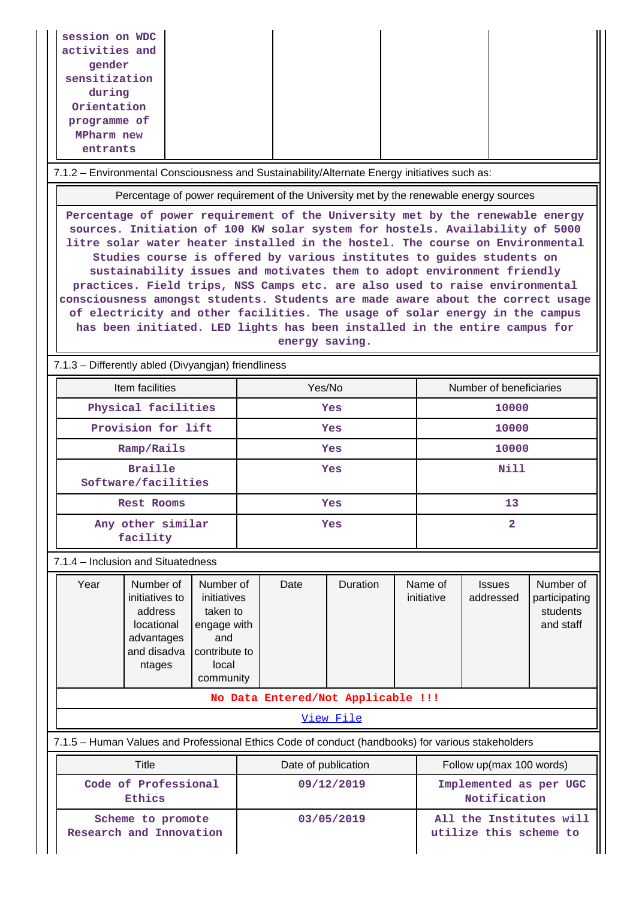| session on WDC<br>activities and<br>gender<br>sensitization<br>during<br>Orientation<br>programme of<br>MPharm new<br>entrants                                                                                                                                                                                                                                                                                                                                                                                                                                                                                                                                                                                                                      |                                                                                       |                         |  |  |  |  |  |
|-----------------------------------------------------------------------------------------------------------------------------------------------------------------------------------------------------------------------------------------------------------------------------------------------------------------------------------------------------------------------------------------------------------------------------------------------------------------------------------------------------------------------------------------------------------------------------------------------------------------------------------------------------------------------------------------------------------------------------------------------------|---------------------------------------------------------------------------------------|-------------------------|--|--|--|--|--|
| 7.1.2 - Environmental Consciousness and Sustainability/Alternate Energy initiatives such as:                                                                                                                                                                                                                                                                                                                                                                                                                                                                                                                                                                                                                                                        |                                                                                       |                         |  |  |  |  |  |
|                                                                                                                                                                                                                                                                                                                                                                                                                                                                                                                                                                                                                                                                                                                                                     | Percentage of power requirement of the University met by the renewable energy sources |                         |  |  |  |  |  |
| Percentage of power requirement of the University met by the renewable energy<br>sources. Initiation of 100 KW solar system for hostels. Availability of 5000<br>litre solar water heater installed in the hostel. The course on Environmental<br>Studies course is offered by various institutes to guides students on<br>sustainability issues and motivates them to adopt environment friendly<br>practices. Field trips, NSS Camps etc. are also used to raise environmental<br>consciousness amongst students. Students are made aware about the correct usage<br>of electricity and other facilities. The usage of solar energy in the campus<br>has been initiated. LED lights has been installed in the entire campus for<br>energy saving. |                                                                                       |                         |  |  |  |  |  |
| 7.1.3 - Differently abled (Divyangjan) friendliness                                                                                                                                                                                                                                                                                                                                                                                                                                                                                                                                                                                                                                                                                                 |                                                                                       |                         |  |  |  |  |  |
| Item facilities                                                                                                                                                                                                                                                                                                                                                                                                                                                                                                                                                                                                                                                                                                                                     | Yes/No                                                                                | Number of beneficiaries |  |  |  |  |  |
| Physical facilities                                                                                                                                                                                                                                                                                                                                                                                                                                                                                                                                                                                                                                                                                                                                 | Yes                                                                                   | 10000                   |  |  |  |  |  |
| Provision for lift                                                                                                                                                                                                                                                                                                                                                                                                                                                                                                                                                                                                                                                                                                                                  | <b>Yes</b>                                                                            | 10000                   |  |  |  |  |  |
| Ramp/Rails                                                                                                                                                                                                                                                                                                                                                                                                                                                                                                                                                                                                                                                                                                                                          | Yes                                                                                   | 10000                   |  |  |  |  |  |
| <b>Braille</b><br>Software/facilities                                                                                                                                                                                                                                                                                                                                                                                                                                                                                                                                                                                                                                                                                                               | Yes                                                                                   | Nill                    |  |  |  |  |  |

 **Any other similar facility**

7.1.4 – Inclusion and Situatedness

| Year                               | Number of<br>initiatives to<br>address<br>locational<br>advantages<br>and disadva<br>ntages | Number of<br>initiatives<br>taken to<br>engage with<br>and<br>contribute to<br>local<br>community | Date | <b>Duration</b> | Name of<br>initiative | <b>Issues</b><br>addressed | Number of<br>participating<br>students<br>and staff |
|------------------------------------|---------------------------------------------------------------------------------------------|---------------------------------------------------------------------------------------------------|------|-----------------|-----------------------|----------------------------|-----------------------------------------------------|
| No Data Entered/Not Applicable !!! |                                                                                             |                                                                                                   |      |                 |                       |                            |                                                     |
| View File                          |                                                                                             |                                                                                                   |      |                 |                       |                            |                                                     |

 **Rest Rooms Yes 13**

**Yes** 2

7.1.5 – Human Values and Professional Ethics Code of conduct (handbooks) for various stakeholders

| Title                                        | Date of publication | Follow up(max 100 words)                          |  |
|----------------------------------------------|---------------------|---------------------------------------------------|--|
| Code of Professional<br>Ethics               | 09/12/2019          | Implemented as per UGC<br>Notification            |  |
| Scheme to promote<br>Research and Innovation | 03/05/2019          | All the Institutes will<br>utilize this scheme to |  |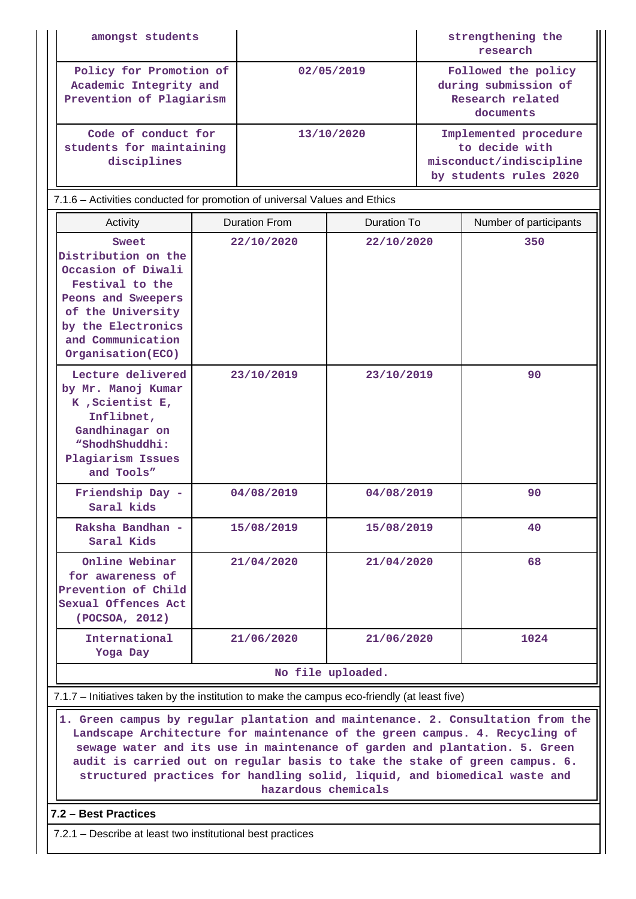| amongst students                                                              |            | strengthening the<br>research                                                                |
|-------------------------------------------------------------------------------|------------|----------------------------------------------------------------------------------------------|
| Policy for Promotion of<br>Academic Integrity and<br>Prevention of Plagiarism | 02/05/2019 | Followed the policy<br>during submission of<br>Research related<br>documents                 |
| Code of conduct for<br>students for maintaining<br>disciplines                | 13/10/2020 | Implemented procedure<br>to decide with<br>misconduct/indiscipline<br>by students rules 2020 |

| 7.1.6 – Activities conducted for promotion of universal Values and Ethics                                                                                                         |                      |             |                        |  |  |  |
|-----------------------------------------------------------------------------------------------------------------------------------------------------------------------------------|----------------------|-------------|------------------------|--|--|--|
| Activity                                                                                                                                                                          | <b>Duration From</b> | Duration To | Number of participants |  |  |  |
| Sweet<br>Distribution on the<br>Occasion of Diwali<br>Festival to the<br>Peons and Sweepers<br>of the University<br>by the Electronics<br>and Communication<br>Organisation (ECO) | 22/10/2020           | 22/10/2020  | 350                    |  |  |  |
| Lecture delivered<br>by Mr. Manoj Kumar<br>K, Scientist E,<br>Inflibnet,                                                                                                          | 23/10/2019           | 23/10/2019  | 90                     |  |  |  |

| Lecture delivered<br>by Mr. Manoj Kumar<br>$K$ , Scientist $E$ ,<br>Inflibnet,<br>Gandhinagar on<br>"ShodhShuddhi:<br>Plagiarism Issues<br>and Tools" | 23/10/2019 | 23/10/2019 | 90   |
|-------------------------------------------------------------------------------------------------------------------------------------------------------|------------|------------|------|
| Friendship Day -<br>Saral kids                                                                                                                        | 04/08/2019 | 04/08/2019 | 90   |
| Raksha Bandhan -<br>Saral Kids                                                                                                                        | 15/08/2019 | 15/08/2019 | 40   |
| Online Webinar<br>for awareness of<br>Prevention of Child<br>Sexual Offences Act<br>(POCSOA, 2012)                                                    | 21/04/2020 | 21/04/2020 | 68   |
| International<br>Yoga Day                                                                                                                             | 21/06/2020 | 21/06/2020 | 1024 |
|                                                                                                                                                       |            |            |      |

#### **No file uploaded.**

### 7.1.7 – Initiatives taken by the institution to make the campus eco-friendly (at least five)

 **1. Green campus by regular plantation and maintenance. 2. Consultation from the Landscape Architecture for maintenance of the green campus. 4. Recycling of sewage water and its use in maintenance of garden and plantation. 5. Green audit is carried out on regular basis to take the stake of green campus. 6. structured practices for handling solid, liquid, and biomedical waste and hazardous chemicals**

### **7.2 – Best Practices**

7.2.1 – Describe at least two institutional best practices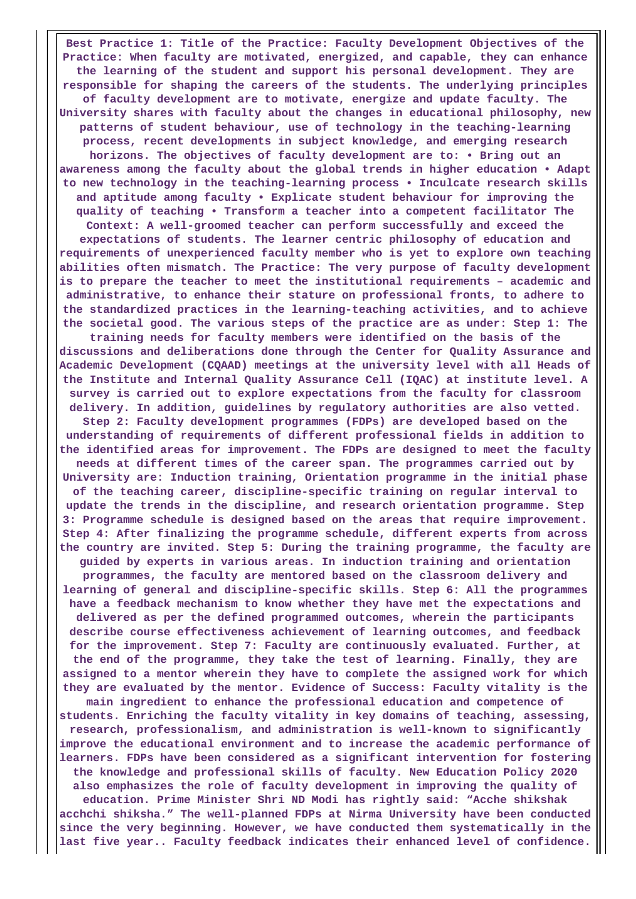**Best Practice 1: Title of the Practice: Faculty Development Objectives of the Practice: When faculty are motivated, energized, and capable, they can enhance the learning of the student and support his personal development. They are responsible for shaping the careers of the students. The underlying principles of faculty development are to motivate, energize and update faculty. The University shares with faculty about the changes in educational philosophy, new patterns of student behaviour, use of technology in the teaching-learning process, recent developments in subject knowledge, and emerging research horizons. The objectives of faculty development are to: • Bring out an awareness among the faculty about the global trends in higher education • Adapt to new technology in the teaching-learning process • Inculcate research skills and aptitude among faculty • Explicate student behaviour for improving the quality of teaching • Transform a teacher into a competent facilitator The Context: A well-groomed teacher can perform successfully and exceed the expectations of students. The learner centric philosophy of education and requirements of unexperienced faculty member who is yet to explore own teaching abilities often mismatch. The Practice: The very purpose of faculty development is to prepare the teacher to meet the institutional requirements – academic and administrative, to enhance their stature on professional fronts, to adhere to the standardized practices in the learning-teaching activities, and to achieve the societal good. The various steps of the practice are as under: Step 1: The training needs for faculty members were identified on the basis of the discussions and deliberations done through the Center for Quality Assurance and Academic Development (CQAAD) meetings at the university level with all Heads of the Institute and Internal Quality Assurance Cell (IQAC) at institute level. A survey is carried out to explore expectations from the faculty for classroom delivery. In addition, guidelines by regulatory authorities are also vetted. Step 2: Faculty development programmes (FDPs) are developed based on the understanding of requirements of different professional fields in addition to the identified areas for improvement. The FDPs are designed to meet the faculty needs at different times of the career span. The programmes carried out by University are: Induction training, Orientation programme in the initial phase of the teaching career, discipline-specific training on regular interval to update the trends in the discipline, and research orientation programme. Step 3: Programme schedule is designed based on the areas that require improvement. Step 4: After finalizing the programme schedule, different experts from across the country are invited. Step 5: During the training programme, the faculty are guided by experts in various areas. In induction training and orientation programmes, the faculty are mentored based on the classroom delivery and learning of general and discipline-specific skills. Step 6: All the programmes have a feedback mechanism to know whether they have met the expectations and delivered as per the defined programmed outcomes, wherein the participants describe course effectiveness achievement of learning outcomes, and feedback for the improvement. Step 7: Faculty are continuously evaluated. Further, at the end of the programme, they take the test of learning. Finally, they are assigned to a mentor wherein they have to complete the assigned work for which they are evaluated by the mentor. Evidence of Success: Faculty vitality is the main ingredient to enhance the professional education and competence of students. Enriching the faculty vitality in key domains of teaching, assessing, research, professionalism, and administration is well-known to significantly improve the educational environment and to increase the academic performance of learners. FDPs have been considered as a significant intervention for fostering the knowledge and professional skills of faculty. New Education Policy 2020 also emphasizes the role of faculty development in improving the quality of education. Prime Minister Shri ND Modi has rightly said: "Acche shikshak acchchi shiksha." The well-planned FDPs at Nirma University have been conducted since the very beginning. However, we have conducted them systematically in the last five year.. Faculty feedback indicates their enhanced level of confidence.**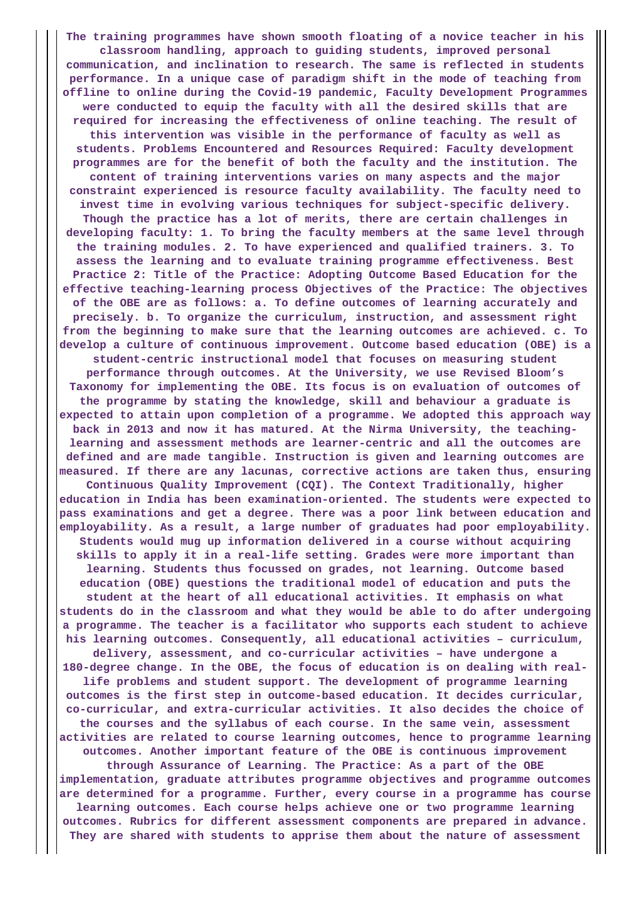**The training programmes have shown smooth floating of a novice teacher in his classroom handling, approach to guiding students, improved personal communication, and inclination to research. The same is reflected in students performance. In a unique case of paradigm shift in the mode of teaching from offline to online during the Covid-19 pandemic, Faculty Development Programmes were conducted to equip the faculty with all the desired skills that are required for increasing the effectiveness of online teaching. The result of this intervention was visible in the performance of faculty as well as students. Problems Encountered and Resources Required: Faculty development programmes are for the benefit of both the faculty and the institution. The content of training interventions varies on many aspects and the major constraint experienced is resource faculty availability. The faculty need to invest time in evolving various techniques for subject-specific delivery. Though the practice has a lot of merits, there are certain challenges in developing faculty: 1. To bring the faculty members at the same level through the training modules. 2. To have experienced and qualified trainers. 3. To assess the learning and to evaluate training programme effectiveness. Best Practice 2: Title of the Practice: Adopting Outcome Based Education for the effective teaching-learning process Objectives of the Practice: The objectives of the OBE are as follows: a. To define outcomes of learning accurately and precisely. b. To organize the curriculum, instruction, and assessment right from the beginning to make sure that the learning outcomes are achieved. c. To develop a culture of continuous improvement. Outcome based education (OBE) is a student-centric instructional model that focuses on measuring student performance through outcomes. At the University, we use Revised Bloom's Taxonomy for implementing the OBE. Its focus is on evaluation of outcomes of the programme by stating the knowledge, skill and behaviour a graduate is expected to attain upon completion of a programme. We adopted this approach way back in 2013 and now it has matured. At the Nirma University, the teachinglearning and assessment methods are learner-centric and all the outcomes are defined and are made tangible. Instruction is given and learning outcomes are measured. If there are any lacunas, corrective actions are taken thus, ensuring Continuous Quality Improvement (CQI). The Context Traditionally, higher education in India has been examination-oriented. The students were expected to pass examinations and get a degree. There was a poor link between education and employability. As a result, a large number of graduates had poor employability. Students would mug up information delivered in a course without acquiring skills to apply it in a real-life setting. Grades were more important than learning. Students thus focussed on grades, not learning. Outcome based education (OBE) questions the traditional model of education and puts the student at the heart of all educational activities. It emphasis on what students do in the classroom and what they would be able to do after undergoing a programme. The teacher is a facilitator who supports each student to achieve his learning outcomes. Consequently, all educational activities – curriculum, delivery, assessment, and co-curricular activities – have undergone a 180-degree change. In the OBE, the focus of education is on dealing with reallife problems and student support. The development of programme learning outcomes is the first step in outcome-based education. It decides curricular, co-curricular, and extra-curricular activities. It also decides the choice of the courses and the syllabus of each course. In the same vein, assessment activities are related to course learning outcomes, hence to programme learning outcomes. Another important feature of the OBE is continuous improvement through Assurance of Learning. The Practice: As a part of the OBE implementation, graduate attributes programme objectives and programme outcomes are determined for a programme. Further, every course in a programme has course learning outcomes. Each course helps achieve one or two programme learning outcomes. Rubrics for different assessment components are prepared in advance. They are shared with students to apprise them about the nature of assessment**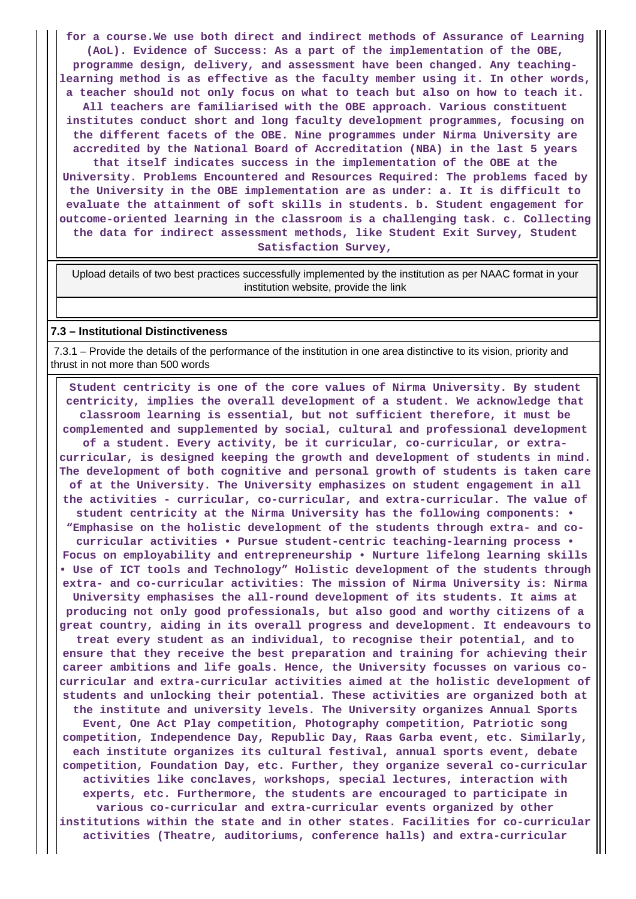**for a course.We use both direct and indirect methods of Assurance of Learning (AoL). Evidence of Success: As a part of the implementation of the OBE, programme design, delivery, and assessment have been changed. Any teachinglearning method is as effective as the faculty member using it. In other words, a teacher should not only focus on what to teach but also on how to teach it. All teachers are familiarised with the OBE approach. Various constituent institutes conduct short and long faculty development programmes, focusing on the different facets of the OBE. Nine programmes under Nirma University are accredited by the National Board of Accreditation (NBA) in the last 5 years that itself indicates success in the implementation of the OBE at the University. Problems Encountered and Resources Required: The problems faced by the University in the OBE implementation are as under: a. It is difficult to evaluate the attainment of soft skills in students. b. Student engagement for outcome-oriented learning in the classroom is a challenging task. c. Collecting the data for indirect assessment methods, like Student Exit Survey, Student Satisfaction Survey,**

 Upload details of two best practices successfully implemented by the institution as per NAAC format in your institution website, provide the link

#### **7.3 – Institutional Distinctiveness**

 7.3.1 – Provide the details of the performance of the institution in one area distinctive to its vision, priority and thrust in not more than 500 words

 **Student centricity is one of the core values of Nirma University. By student centricity, implies the overall development of a student. We acknowledge that classroom learning is essential, but not sufficient therefore, it must be complemented and supplemented by social, cultural and professional development of a student. Every activity, be it curricular, co-curricular, or extracurricular, is designed keeping the growth and development of students in mind. The development of both cognitive and personal growth of students is taken care of at the University. The University emphasizes on student engagement in all the activities - curricular, co-curricular, and extra-curricular. The value of student centricity at the Nirma University has the following components: • "Emphasise on the holistic development of the students through extra- and cocurricular activities • Pursue student-centric teaching-learning process • Focus on employability and entrepreneurship • Nurture lifelong learning skills • Use of ICT tools and Technology" Holistic development of the students through extra- and co-curricular activities: The mission of Nirma University is: Nirma University emphasises the all-round development of its students. It aims at producing not only good professionals, but also good and worthy citizens of a great country, aiding in its overall progress and development. It endeavours to treat every student as an individual, to recognise their potential, and to ensure that they receive the best preparation and training for achieving their career ambitions and life goals. Hence, the University focusses on various cocurricular and extra-curricular activities aimed at the holistic development of students and unlocking their potential. These activities are organized both at the institute and university levels. The University organizes Annual Sports Event, One Act Play competition, Photography competition, Patriotic song competition, Independence Day, Republic Day, Raas Garba event, etc. Similarly, each institute organizes its cultural festival, annual sports event, debate competition, Foundation Day, etc. Further, they organize several co-curricular activities like conclaves, workshops, special lectures, interaction with experts, etc. Furthermore, the students are encouraged to participate in various co-curricular and extra-curricular events organized by other institutions within the state and in other states. Facilities for co-curricular activities (Theatre, auditoriums, conference halls) and extra-curricular**